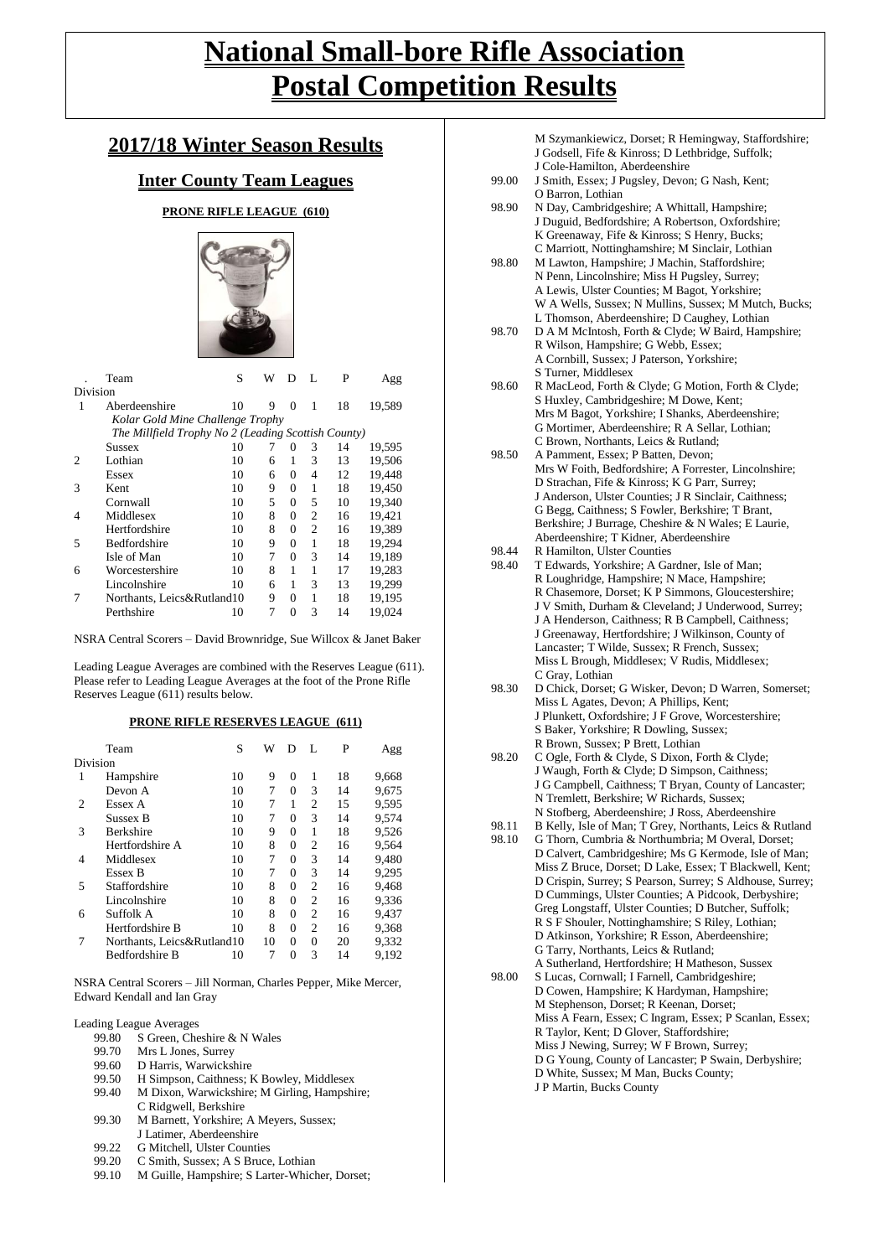# **National Small-bore Rifle Association Postal Competition Results**

## **2017/18 Winter Season Results**

### **Inter County Team Leagues**

#### **PRONE RIFLE LEAGUE (610)**



|          | Team                                                | S  | W | D        | L              | P  | Agg    |
|----------|-----------------------------------------------------|----|---|----------|----------------|----|--------|
| Division |                                                     |    |   |          |                |    |        |
| 1        | Aberdeenshire                                       | 10 | 9 | $\Omega$ | 1              | 18 | 19,589 |
|          | Kolar Gold Mine Challenge Trophy                    |    |   |          |                |    |        |
|          | The Millfield Trophy No 2 (Leading Scottish County) |    |   |          |                |    |        |
|          | Sussex                                              | 10 | 7 | $\Omega$ | 3              | 14 | 19,595 |
|          | Lothian                                             | 10 | 6 | 1        | 3              | 13 | 19,506 |
|          | Essex                                               | 10 | 6 | 0        | 4              | 12 | 19,448 |
| 3        | Kent                                                | 10 | 9 | 0        | 1              | 18 | 19.450 |
|          | Cornwall                                            | 10 | 5 | 0        | 5              | 10 | 19,340 |
| 4        | Middlesex                                           | 10 | 8 | 0        | $\overline{c}$ | 16 | 19.421 |
|          | Hertfordshire                                       | 10 | 8 | 0        | $\overline{c}$ | 16 | 19,389 |
| 5        | <b>Bedfordshire</b>                                 | 10 | 9 | 0        | 1              | 18 | 19.294 |
|          | Isle of Man                                         | 10 | 7 | 0        | 3              | 14 | 19,189 |
| 6        | Worcestershire                                      | 10 | 8 | 1        | 1              | 17 | 19.283 |
|          | Lincolnshire                                        | 10 | 6 | 1        | 3              | 13 | 19,299 |
| 7        | Northants, Leics&Rutland10                          |    | 9 | 0        | 1              | 18 | 19,195 |
|          | Perthshire                                          | 10 | 7 | $\theta$ | 3              | 14 | 19,024 |

NSRA Central Scorers – David Brownridge, Sue Willcox & Janet Baker

Leading League Averages are combined with the Reserves League (611). Please refer to Leading League Averages at the foot of the Prone Rifle Reserves League (611) results below.

#### **PRONE RIFLE RESERVES LEAGUE (611)**

|          | Team                       | S  | W  | D | L              | P  | Agg   |
|----------|----------------------------|----|----|---|----------------|----|-------|
| Division |                            |    |    |   |                |    |       |
| 1        | Hampshire                  | 10 | 9  | 0 | 1              | 18 | 9,668 |
|          | Devon A                    | 10 | 7  | 0 | 3              | 14 | 9,675 |
| 2        | Essex A                    | 10 | 7  | 1 | $\overline{c}$ | 15 | 9,595 |
|          | Sussex B                   | 10 | 7  | 0 | 3              | 14 | 9,574 |
| 3        | <b>Berkshire</b>           | 10 | 9  | 0 | 1              | 18 | 9,526 |
|          | Hertfordshire A            | 10 | 8  | 0 | 2              | 16 | 9,564 |
| 4        | Middlesex                  | 10 | 7  | 0 | 3              | 14 | 9.480 |
|          | Essex B                    | 10 | 7  | 0 | 3              | 14 | 9,295 |
| 5        | Staffordshire              | 10 | 8  | 0 | $\overline{c}$ | 16 | 9,468 |
|          | Lincolnshire               | 10 | 8  | 0 | $\overline{c}$ | 16 | 9,336 |
| 6        | Suffolk A                  | 10 | 8  | 0 | $\overline{c}$ | 16 | 9,437 |
|          | Hertfordshire B            | 10 | 8  | 0 | 2              | 16 | 9,368 |
|          | Northants, Leics&Rutland10 |    | 10 | 0 | $\Omega$       | 20 | 9,332 |
|          | <b>Bedfordshire B</b>      | 10 | 7  | 0 | 3              | 14 | 9,192 |

NSRA Central Scorers – Jill Norman, Charles Pepper, Mike Mercer, Edward Kendall and Ian Gray

Leading League Averages

- 99.80 S Green, Cheshire & N Wales<br>99.70 Mrs L Jones, Surrey
- 99.70 Mrs L Jones, Surrey<br>99.60 D Harris, Warwicks
- D Harris, Warwickshire
- 99.50 H Simpson, Caithness; K Bowley, Middlesex
- 99.40 M Dixon, Warwickshire; M Girling, Hampshire;
- C Ridgwell, Berkshire
- 99.30 M Barnett, Yorkshire; A Meyers, Sussex; J Latimer, Aberdeenshire
- 
- 99.22 G Mitchell, Ulster Counties<br>99.20 C Smith, Sussex; A S Bruce C Smith, Sussex; A S Bruce, Lothian
- 99.10 M Guille, Hampshire; S Larter-Whicher, Dorset;

|       | M Szymankiewicz, Dorset; R Hemingway, Staffordshire;      |
|-------|-----------------------------------------------------------|
|       | J Godsell, Fife & Kinross; D Lethbridge, Suffolk;         |
|       | J Cole-Hamilton, Aberdeenshire                            |
| 99.00 | J Smith, Essex; J Pugsley, Devon; G Nash, Kent;           |
|       |                                                           |
|       | O Barron, Lothian                                         |
| 98.90 | N Day, Cambridgeshire; A Whittall, Hampshire;             |
|       | J Duguid, Bedfordshire; A Robertson, Oxfordshire;         |
|       | K Greenaway, Fife & Kinross; S Henry, Bucks;              |
|       | C Marriott, Nottinghamshire; M Sinclair, Lothian          |
| 98.80 | M Lawton, Hampshire; J Machin, Staffordshire;             |
|       | N Penn, Lincolnshire; Miss H Pugsley, Surrey;             |
|       | A Lewis, Ulster Counties; M Bagot, Yorkshire;             |
|       | W A Wells, Sussex; N Mullins, Sussex; M Mutch, Bucks;     |
|       | L Thomson, Aberdeenshire; D Caughey, Lothian              |
| 98.70 |                                                           |
|       | D A M McIntosh, Forth & Clyde; W Baird, Hampshire;        |
|       | R Wilson, Hampshire; G Webb, Essex;                       |
|       | A Cornbill, Sussex; J Paterson, Yorkshire;                |
|       | S Turner, Middlesex                                       |
| 98.60 | R MacLeod, Forth & Clyde; G Motion, Forth & Clyde;        |
|       | S Huxley, Cambridgeshire; M Dowe, Kent;                   |
|       | Mrs M Bagot, Yorkshire; I Shanks, Aberdeenshire;          |
|       | G Mortimer, Aberdeenshire; R A Sellar, Lothian;           |
|       | C Brown, Northants, Leics & Rutland;                      |
| 98.50 | A Pamment, Essex; P Batten, Devon;                        |
|       | Mrs W Foith, Bedfordshire; A Forrester, Lincolnshire;     |
|       |                                                           |
|       | D Strachan, Fife & Kinross; K G Parr, Surrey;             |
|       | J Anderson, Ulster Counties; J R Sinclair, Caithness;     |
|       | G Begg, Caithness; S Fowler, Berkshire; T Brant,          |
|       | Berkshire; J Burrage, Cheshire & N Wales; E Laurie,       |
|       | Aberdeenshire; T Kidner, Aberdeenshire                    |
| 98.44 | R Hamilton, Ulster Counties                               |
| 98.40 | T Edwards, Yorkshire; A Gardner, Isle of Man;             |
|       | R Loughridge, Hampshire; N Mace, Hampshire;               |
|       | R Chasemore, Dorset; K P Simmons, Gloucestershire;        |
|       | J V Smith, Durham & Cleveland; J Underwood, Surrey;       |
|       | J A Henderson, Caithness; R B Campbell, Caithness;        |
|       |                                                           |
|       | J Greenaway, Hertfordshire; J Wilkinson, County of        |
|       | Lancaster; T Wilde, Sussex; R French, Sussex;             |
|       | Miss L Brough, Middlesex; V Rudis, Middlesex;             |
|       | C Gray, Lothian                                           |
| 98.30 | D Chick, Dorset; G Wisker, Devon; D Warren, Somerset;     |
|       | Miss L Agates, Devon; A Phillips, Kent;                   |
|       | J Plunkett, Oxfordshire; J F Grove, Worcestershire;       |
|       | S Baker, Yorkshire; R Dowling, Sussex;                    |
|       | R Brown, Sussex; P Brett, Lothian                         |
| 98.20 | C Ogle, Forth & Clyde, S Dixon, Forth & Clyde;            |
|       | J Waugh, Forth & Clyde; D Simpson, Caithness;             |
|       | J G Campbell, Caithness; T Bryan, County of Lancaster;    |
|       |                                                           |
|       | N Tremlett, Berkshire; W Richards, Sussex;                |
|       | N Stofberg, Aberdeenshire; J Ross, Aberdeenshire          |
| 98.11 | B Kelly, Isle of Man; T Grey, Northants, Leics & Rutland  |
| 98.10 | G Thorn, Cumbria & Northumbria; M Overal, Dorset;         |
|       | D Calvert, Cambridgeshire; Ms G Kermode, Isle of Man;     |
|       | Miss Z Bruce, Dorset; D Lake, Essex; T Blackwell, Kent;   |
|       | D Crispin, Surrey; S Pearson, Surrey; S Aldhouse, Surrey; |
|       | D Cummings, Ulster Counties; A Pidcook, Derbyshire;       |

- 98.00 S Lucas, Cornwall: I Farnell, Cambridgeshire: D Cowen, Hampshire; K Hardyman, Hampshire; M Stephenson, Dorset; R Keenan, Dorset;
	- Miss A Fearn, Essex; C Ingram, Essex; P Scanlan, Essex; R Taylor, Kent; D Glover, Staffordshire; Miss J Newing, Surrey; W F Brown, Surrey; D G Young, County of Lancaster; P Swain, Derbyshire; D White, Sussex; M Man, Bucks County; J P Martin, Bucks County

Greg Longstaff, Ulster Counties; D Butcher, Suffolk; R S F Shouler, Nottinghamshire; S Riley, Lothian; D Atkinson, Yorkshire; R Esson, Aberdeenshire;

A Sutherland, Hertfordshire; H Matheson, Sussex

G Tarry, Northants, Leics & Rutland;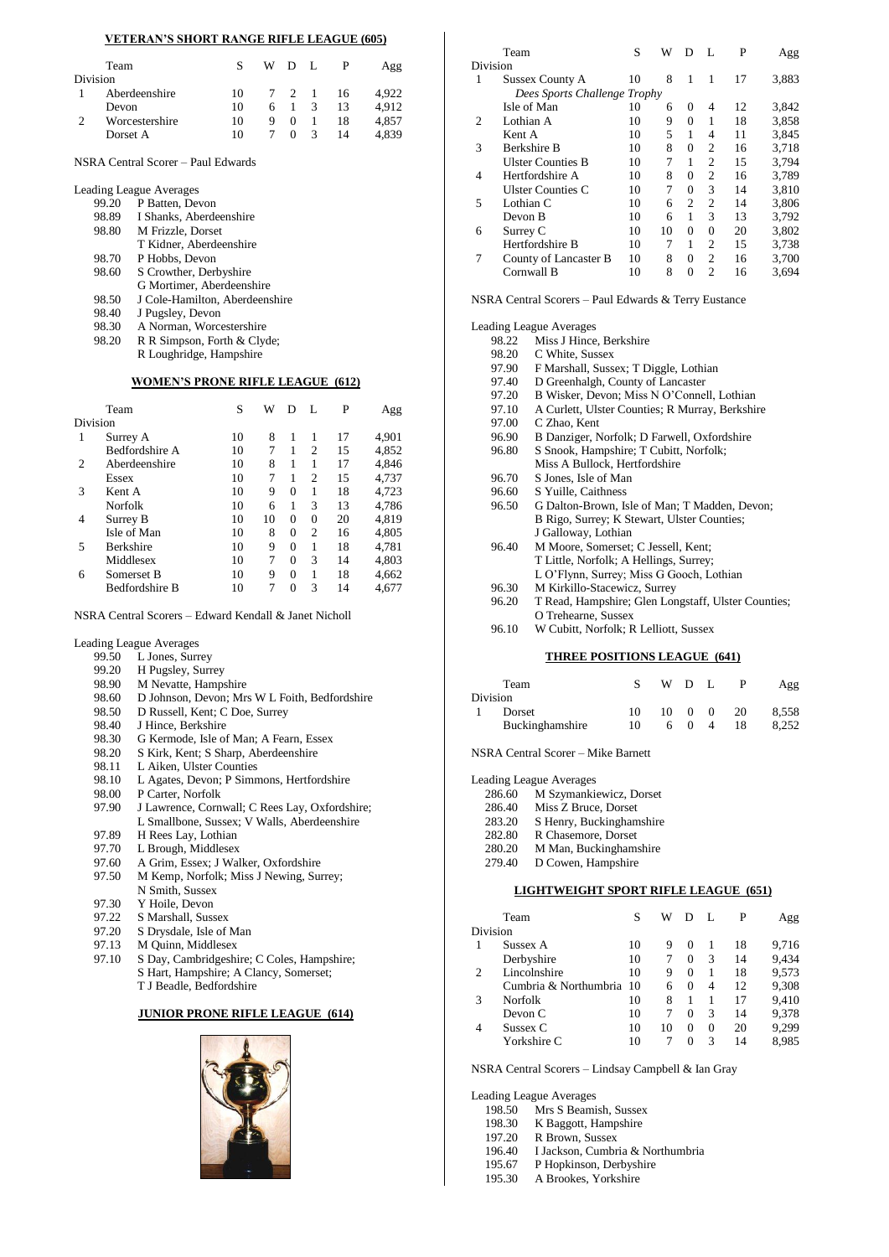#### **VETERAN'S SHORT RANGE RIFLE LEAGUE (605)**

|                                                              |   |            |               | P   | Agg   |
|--------------------------------------------------------------|---|------------|---------------|-----|-------|
|                                                              |   |            |               |     |       |
| 10                                                           |   |            |               | 16  | 4.922 |
| 10                                                           |   |            | 3             | 13  | 4.912 |
| 10                                                           | 9 | $\Omega$   |               | 18  | 4.857 |
| 10                                                           |   | $^{\circ}$ | $\mathcal{R}$ | 14  | 4.839 |
| Team<br>Aberdeenshire<br>Devon<br>Worcestershire<br>Dorset A |   |            |               | WDL | 7 2 1 |

NSRA Central Scorer – Paul Edwards

| 99.20 | P Batten, Devon                |
|-------|--------------------------------|
| 98.89 | I Shanks, Aberdeenshire        |
| 98.80 | M Frizzle, Dorset              |
|       | T Kidner, Aberdeenshire        |
| 98.70 | P Hobbs, Devon                 |
| 98.60 | S Crowther, Derbyshire         |
|       | G Mortimer, Aberdeenshire      |
| 98.50 | J Cole-Hamilton, Aberdeenshire |
| 98.40 | J Pugsley, Devon               |
| 98.30 | A Norman, Worcestershire       |
| 98.20 | R R Simpson, Forth & Clyde;    |
|       | R Loughridge, Hampshire        |

|   | Team                  | S  | W  | D        |                | P  | Agg   |
|---|-----------------------|----|----|----------|----------------|----|-------|
|   | Division              |    |    |          |                |    |       |
|   | Surrey A              | 10 | 8  |          |                | 17 | 4,901 |
|   | Bedfordshire A        | 10 | 7  | 1        | $\overline{c}$ | 15 | 4,852 |
| 2 | Aberdeenshire         | 10 | 8  | 1        |                | 17 | 4,846 |
|   | Essex                 | 10 | 7  | 1        | $\overline{c}$ | 15 | 4,737 |
| 3 | Kent A                | 10 | 9  | 0        | 1              | 18 | 4,723 |
|   | <b>Norfolk</b>        | 10 | 6  | 1        | 3              | 13 | 4,786 |
| 4 | Surrey B              | 10 | 10 | 0        | $\theta$       | 20 | 4,819 |
|   | Isle of Man           | 10 | 8  | $\Omega$ | $\overline{c}$ | 16 | 4.805 |
| 5 | <b>Berkshire</b>      | 10 | 9  | $\theta$ | 1              | 18 | 4,781 |
|   | Middlesex             | 10 | 7  | $\Omega$ | 3              | 14 | 4,803 |
| 6 | Somerset B            | 10 | 9  | $\Omega$ | 1              | 18 | 4.662 |
|   | <b>Bedfordshire B</b> | 10 |    | 0        | 3              | 14 | 4.677 |
|   |                       |    |    |          |                |    |       |

NSRA Central Scorers – Edward Kendall & Janet Nicholl

Leading League Averages

- 99.50 L Jones, Surrey<br>99.20 H Pugsley, Surr
- 99.20 H Pugsley, Surrey<br>98.90 M Nevatte. Hamps
- M Nevatte, Hampshire
- 98.60 D Johnson, Devon; Mrs W L Foith, Bedfordshire
- 98.50 D Russell, Kent; C Doe, Surrey
- 98.40 J Hince, Berkshire
- 98.30 G Kermode, Isle of Man; A Fearn, Essex
- 98.20 S Kirk, Kent; S Sharp, Aberdeenshire<br>98.11 L Aiken. Ulster Counties
- 98.11 L Aiken, Ulster Counties<br>98.10 L Agates, Devon; P Simn
- L Agates, Devon; P Simmons, Hertfordshire
- 98.00 P Carter, Norfolk
- 97.90 J Lawrence, Cornwall; C Rees Lay, Oxfordshire; L Smallbone, Sussex; V Walls, Aberdeenshire
- 97.89 H Rees Lay, Lothian
- 
- 97.70 L Brough, Middlesex<br>97.60 A Grim, Essex: J Wal A Grim, Essex; J Walker, Oxfordshire
- 97.50 M Kemp, Norfolk; Miss J Newing, Surrey;
- N Smith, Sussex
- 
- 97.30 Y Hoile, Devon<br>97.22 S Marshall, Suss
- 97.22 S Marshall, Sussex<br>97.20 S Drysdale, Isle of S Drysdale, Isle of Man
- 
- 97.13 M Quinn, Middlesex<br>97.10 S Day, Cambridgeshi S Day, Cambridgeshire; C Coles, Hampshire;
	- S Hart, Hampshire; A Clancy, Somerset;
		- T J Beadle, Bedfordshire

#### **JUNIOR PRONE RIFLE LEAGUE (614)**



|          | Team                         | S  | W  | D              |                | P  | Agg   |
|----------|------------------------------|----|----|----------------|----------------|----|-------|
| Division |                              |    |    |                |                |    |       |
| 1        | <b>Sussex County A</b>       | 10 | 8  | 1              | 1              | 17 | 3,883 |
|          | Dees Sports Challenge Trophy |    |    |                |                |    |       |
|          | Isle of Man                  | 10 | 6  | $^{(1)}$       | 4              | 12 | 3.842 |
| 2        | Lothian A                    | 10 | 9  | $\Omega$       | 1              | 18 | 3,858 |
|          | Kent A                       | 10 | 5  | 1              | 4              | 11 | 3,845 |
| 3        | <b>Berkshire B</b>           | 10 | 8  | $\Omega$       | $\overline{c}$ | 16 | 3,718 |
|          | <b>Ulster Counties B</b>     | 10 | 7  | 1              | $\overline{c}$ | 15 | 3,794 |
| 4        | Hertfordshire A              | 10 | 8  | $\mathbf{0}$   | $\overline{c}$ | 16 | 3,789 |
|          | <b>Ulster Counties C</b>     | 10 | 7  | $\Omega$       | 3              | 14 | 3,810 |
| 5        | Lothian C                    | 10 | 6  | $\overline{c}$ | $\overline{c}$ | 14 | 3,806 |
|          | Devon B                      | 10 | 6  | 1              | 3              | 13 | 3,792 |
| 6        | Surrey C                     | 10 | 10 | $\Omega$       | $\overline{0}$ | 20 | 3,802 |
|          | Hertfordshire B              | 10 | 7  | 1              | $\overline{c}$ | 15 | 3,738 |
| 7        | County of Lancaster B        | 10 | 8  | $\mathbf{0}$   | $\overline{c}$ | 16 | 3,700 |
|          | Cornwall B                   | 10 | 8  | $\theta$       | $\overline{c}$ | 16 | 3,694 |

NSRA Central Scorers – Paul Edwards & Terry Eustance

| <b>Leading League Averages</b>                      |
|-----------------------------------------------------|
| 98.22<br>Miss J Hince, Berkshire                    |
| C White, Sussex                                     |
| F Marshall, Sussex; T Diggle, Lothian               |
| D Greenhalgh, County of Lancaster                   |
| B Wisker, Devon; Miss N O'Connell, Lothian          |
| A Curlett, Ulster Counties; R Murray, Berkshire     |
| C Zhao, Kent                                        |
| B Danziger, Norfolk; D Farwell, Oxfordshire         |
| S Snook, Hampshire; T Cubitt, Norfolk;              |
| Miss A Bullock, Hertfordshire                       |
| S Jones, Isle of Man                                |
| S Yuille, Caithness                                 |
| G Dalton-Brown, Isle of Man; T Madden, Devon;       |
| B Rigo, Surrey; K Stewart, Ulster Counties;         |
| J Galloway, Lothian                                 |
| M Moore, Somerset; C Jessell, Kent;                 |
| T Little, Norfolk; A Hellings, Surrey;              |
| L O'Flynn, Surrey; Miss G Gooch, Lothian            |
| M Kirkillo-Stacewicz, Surrey                        |
| T Read, Hampshire; Glen Longstaff, Ulster Counties; |
| O Trehearne, Sussex                                 |
| W Cubitt, Norfolk; R Lelliott, Sussex               |
|                                                     |

#### **THREE POSITIONS LEAGUE (641)**

|          | Team            |    | WDL          |          |     | Agg   |
|----------|-----------------|----|--------------|----------|-----|-------|
| Division |                 |    |              |          |     |       |
|          | Dorset          | 10 | $10 \quad 0$ | $\Omega$ | -20 | 8.558 |
|          | Buckinghamshire | 10 |              | 6 0 4    | 18  | 8.252 |

NSRA Central Scorer – Mike Barnett

Leading League Averages

- 286.60 M Szymankiewicz, Dorset
- 286.40 Miss Z Bruce, Dorset<br>283.20 S Henry, Buckingham
- S Henry, Buckinghamshire
- 282.80 R Chasemore, Dorset
- 280.20 M Man, Buckinghamshire

279.40 D Cowen, Hampshire

#### **LIGHTWEIGHT SPORT RIFLE LEAGUE (651)**

|          | Team                     | S  | W  |          | L | P  | ١gg   |
|----------|--------------------------|----|----|----------|---|----|-------|
| Division |                          |    |    |          |   |    |       |
|          | Sussex A                 | 10 | 9  | $\theta$ |   | 18 | 9,716 |
|          | Derbyshire               | 10 |    | 0        | 3 | 14 | 9,434 |
| 2        | Lincolnshire             | 10 | 9  | $\Omega$ |   | 18 | 9,573 |
|          | Cumbria & Northumbria 10 |    | 6  | $\Omega$ | 4 | 12 | 9,308 |
| 3        | Norfolk                  | 10 | 8  |          |   | 17 | 9,410 |
|          | Devon C                  | 10 |    | $\Omega$ | 3 | 14 | 9,378 |
|          | Sussex C                 | 10 | 10 | 0        | 0 | 20 | 9,299 |
|          | Yorkshire C              | 10 |    | 0        | 3 | 14 | 8.985 |

NSRA Central Scorers – Lindsay Campbell & Ian Gray

Leading League Averages

| 198.50 |  | Mrs S Beamish, Sussex |  |
|--------|--|-----------------------|--|

| -------- | ----- - - ------------ - - ------ |
|----------|-----------------------------------|
| 198.30   | K Baggott, Hampshire              |

- 197.20 R Brown, Sussex
- 
- 196.40 I Jackson, Cumbria & Northumbria<br>195.67 P Hopkinson, Derbyshire P Hopkinson, Derbyshire
- 
- 195.30 A Brookes, Yorkshire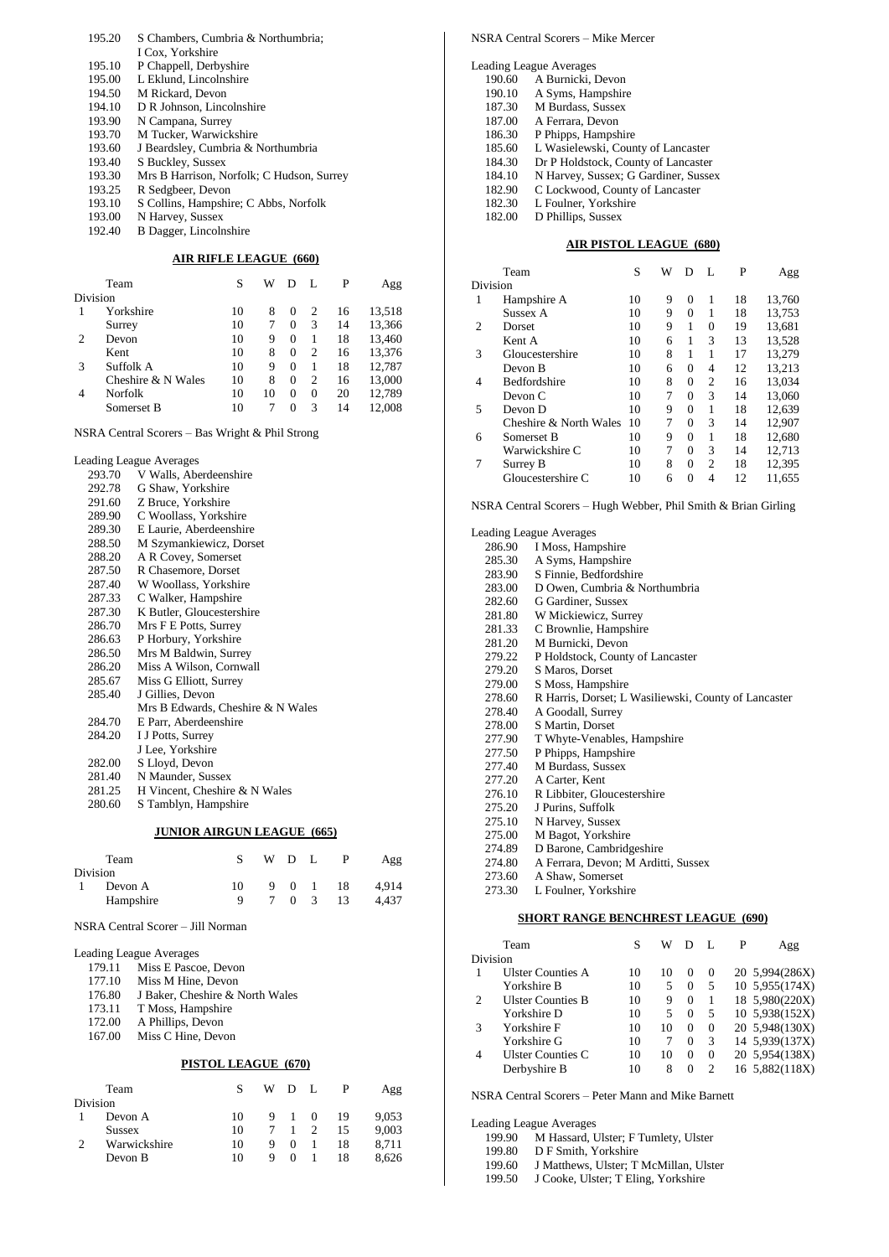| 195.20 | S Chambers, Cumbria & Northumbria;        |
|--------|-------------------------------------------|
|        | I Cox. Yorkshire                          |
| 195.10 | P Chappell, Derbyshire                    |
| 195.00 | L Eklund, Lincolnshire                    |
| 194.50 | M Rickard, Devon                          |
| 194.10 | D R Johnson, Lincolnshire                 |
| 193.90 | N Campana, Surrey                         |
| 193.70 | M Tucker, Warwickshire                    |
| 193.60 | J Beardsley, Cumbria & Northumbria        |
| 193.40 | S Buckley, Sussex                         |
| 193.30 | Mrs B Harrison, Norfolk; C Hudson, Surrey |
| 193.25 | R Sedgbeer, Devon                         |
| 193.10 | S Collins, Hampshire; C Abbs, Norfolk     |
| 193.00 | N Harvey, Sussex                          |
| 192.40 | B Dagger, Lincolnshire                    |
|        |                                           |

#### **AIR RIFLE LEAGUE (660)**

|          | Team               | S  | W  | D      | L        | P  | Agg    |
|----------|--------------------|----|----|--------|----------|----|--------|
| Division |                    |    |    |        |          |    |        |
|          | Yorkshire          | 10 | 8  | $_{0}$ | 2        | 16 | 13,518 |
|          | Surrey             | 10 |    | 0      | 3        | 14 | 13,366 |
| 2        | Devon              | 10 | 9  | 0      |          | 18 | 13,460 |
|          | Kent               | 10 | 8  | 0      | 2        | 16 | 13,376 |
| 3        | Suffolk A          | 10 | 9  | 0      |          | 18 | 12,787 |
|          | Cheshire & N Wales | 10 | 8  | 0      | 2        | 16 | 13,000 |
| 4        | Norfolk            | 10 | 10 | 0      | $\Omega$ | 20 | 12,789 |
|          | Somerset B         | 10 |    | 0      | 3        | 14 | 12.008 |

NSRA Central Scorers – Bas Wright & Phil Strong

Leading League Averages

| 293.70 | V Walls, Aberdeenshire            |
|--------|-----------------------------------|
| 292.78 | G Shaw, Yorkshire                 |
| 291.60 | Z Bruce, Yorkshire                |
| 289.90 | C Woollass, Yorkshire             |
| 289.30 | E Laurie, Aberdeenshire           |
| 288.50 | M Szymankiewicz, Dorset           |
| 288.20 | A R Covey, Somerset               |
| 287.50 | R Chasemore, Dorset               |
| 287.40 | W Woollass, Yorkshire             |
| 287.33 | C Walker, Hampshire               |
| 287.30 | K Butler, Gloucestershire         |
| 286.70 | Mrs F E Potts, Surrey             |
| 286.63 | P Horbury, Yorkshire              |
| 286.50 | Mrs M Baldwin, Surrey             |
| 286.20 | Miss A Wilson, Cornwall           |
| 285.67 | Miss G Elliott, Surrey            |
| 285.40 | J Gillies, Devon                  |
|        | Mrs B Edwards, Cheshire & N Wales |
| 284.70 | E Parr, Aberdeenshire             |
| 284.20 | I J Potts, Surrey                 |
|        | J Lee, Yorkshire                  |
| 282.00 | S Lloyd, Devon                    |
| 281.40 | N Maunder, Sussex                 |
| 281.25 | H Vincent, Cheshire & N Wales     |
| 280.60 | S Tamblyn, Hampshire              |
|        |                                   |

#### **JUNIOR AIRGUN LEAGUE (665)**

|                | Team      |    | W D L |          | Agg   |
|----------------|-----------|----|-------|----------|-------|
|                | Division  |    |       |          |       |
| $\overline{1}$ | Devon A   | 10 |       | 9 0 1 18 | 4.914 |
|                | Hampshire | Q  |       | 7 0 3 13 | 4.437 |

NSRA Central Scorer – Jill Norman

|        | <b>Leading League Averages</b>  |
|--------|---------------------------------|
| 179.11 | Miss E Pascoe, Devon            |
| 177.10 | Miss M Hine, Devon              |
| 176.80 | J Baker, Cheshire & North Wales |
| 173.11 | T Moss, Hampshire               |
| 172.00 | A Phillips, Devon               |
| 167.00 | Miss C Hine, Devon              |
|        |                                 |
|        | PISTOL LEAGUE (670)             |

| Team          |    |   | WDL            |          |    | Agg   |
|---------------|----|---|----------------|----------|----|-------|
| Division      |    |   |                |          |    |       |
| Devon A       | 10 | 9 | $\overline{1}$ | $\Omega$ | 19 | 9,053 |
| <b>Sussex</b> | 10 |   |                |          | 15 | 9.003 |
| Warwickshire  | 10 | 9 | $\Omega$       |          | 18 | 8.711 |
| Devon B       | 10 | Q | $\Omega$       |          | 18 | 8.626 |
|               |    |   |                |          |    |       |

| NSRA Central Scorers - Mike Mercer   |
|--------------------------------------|
| Leading League Averages              |
| A Burnicki, Devon                    |
| A Syms, Hampshire                    |
| M Burdass, Sussex                    |
| A Ferrara, Devon                     |
| P Phipps, Hampshire                  |
| L Wasielewski, County of Lancaster   |
| Dr P Holdstock, County of Lancaster  |
| N Harvey, Sussex; G Gardiner, Sussex |
| C Lockwood, County of Lancaster      |
| L Foulner, Yorkshire                 |
| D Phillips, Sussex                   |
|                                      |

#### **AIR PISTOL LEAGUE (680)**

|                             | Team                   | S  | W |          | L              | P  | Agg    |
|-----------------------------|------------------------|----|---|----------|----------------|----|--------|
| Division                    |                        |    |   |          |                |    |        |
| 1                           | Hampshire A            | 10 | 9 | $\Omega$ | 1              | 18 | 13,760 |
|                             | Sussex A               | 10 | 9 | $\Omega$ | 1              | 18 | 13,753 |
| $\mathcal{D}_{\mathcal{A}}$ | Dorset                 | 10 | 9 | 1        | 0              | 19 | 13,681 |
|                             | Kent A                 | 10 | 6 | 1        | 3              | 13 | 13,528 |
| 3                           | Gloucestershire        | 10 | 8 | 1        | 1              | 17 | 13.279 |
|                             | Devon B                | 10 | 6 | $\Omega$ | 4              | 12 | 13,213 |
| 4                           | Bedfordshire           | 10 | 8 | $\Omega$ | $\overline{c}$ | 16 | 13,034 |
|                             | Devon C                | 10 | 7 | $\Omega$ | 3              | 14 | 13,060 |
| 5                           | Devon D                | 10 | 9 | $\Omega$ | 1              | 18 | 12,639 |
|                             | Cheshire & North Wales | 10 | 7 | 0        | 3              | 14 | 12,907 |
| 6                           | Somerset B             | 10 | 9 | $\Omega$ | 1              | 18 | 12,680 |
|                             | Warwickshire C         | 10 | 7 | 0        | 3              | 14 | 12,713 |
| 7                           | Surrey B               | 10 | 8 | $\Omega$ | $\overline{c}$ | 18 | 12,395 |
|                             | Gloucestershire C      | 10 | 6 | 0        | 4              | 12 | 11,655 |

NSRA Central Scorers – Hugh Webber, Phil Smith & Brian Girling

|        | Leading League Averages                              |
|--------|------------------------------------------------------|
| 286.90 | I Moss, Hampshire                                    |
| 285.30 | A Syms, Hampshire                                    |
| 283.90 | S Finnie, Bedfordshire                               |
| 283.00 | D Owen, Cumbria & Northumbria                        |
| 282.60 | G Gardiner, Sussex                                   |
| 281.80 | W Mickiewicz, Surrey                                 |
| 281.33 | C Brownlie, Hampshire                                |
| 281.20 | M Burnicki, Devon                                    |
| 279.22 | P Holdstock, County of Lancaster                     |
| 279.20 | S Maros, Dorset                                      |
| 279.00 | S Moss, Hampshire                                    |
| 278.60 | R Harris, Dorset; L Wasiliewski, County of Lancaster |
| 278.40 | A Goodall, Surrey                                    |
| 278.00 | S Martin, Dorset                                     |
| 277.90 | T Whyte-Venables, Hampshire                          |
| 277.50 | P Phipps, Hampshire                                  |
| 277.40 | M Burdass, Sussex                                    |
| 277.20 | A Carter, Kent                                       |
| 276.10 | R Libbiter, Gloucestershire                          |
| 275.20 | J Purins, Suffolk                                    |
| 275.10 | N Harvey, Sussex                                     |
| 275.00 | M Bagot, Yorkshire                                   |
| 274.89 | D Barone, Cambridgeshire                             |
| 274.80 | A Ferrara, Devon; M Arditti, Sussex                  |
| 273.60 | A Shaw, Somerset                                     |
| 273.30 | L Foulner, Yorkshire                                 |

#### **SHORT RANGE BENCHREST LEAGUE (690)**

|   | Team                     | S  | W  |          | L        | P | Agg            |
|---|--------------------------|----|----|----------|----------|---|----------------|
|   | Division                 |    |    |          |          |   |                |
|   | <b>Ulster Counties A</b> | 10 | 10 | $\theta$ | $\Omega$ |   | 20 5,994(286X) |
|   | Yorkshire B              | 10 | 5  | $^{(1)}$ | 5        |   | 10 5,955(174X) |
| 2 | <b>Ulster Counties B</b> | 10 | 9  | $\Omega$ | 1        |   | 18 5,980(220X) |
|   | Yorkshire D              | 10 | 5  | $\Omega$ | 5        |   | 10 5,938(152X) |
| 3 | Yorkshire F              | 10 | 10 | $\Omega$ | $\Omega$ |   | 20 5,948(130X) |
|   | Yorkshire G              | 10 |    | $\Omega$ | 3        |   | 14 5,939(137X) |
| 4 | Ulster Counties C        | 10 | 10 | 0        | 0        |   | 20 5,954(138X) |
|   | Derbyshire B             | 10 | 8  | $\Omega$ | 2        |   | 16 5,882(118X) |

NSRA Central Scorers – Peter Mann and Mike Barnett

Leading League Averages

199.90 M Hassard, Ulster; F Tumlety, Ulster

- 199.80 D F Smith, Yorkshire
- 199.60 J Matthews, Ulster; T McMillan, Ulster

199.50 J Cooke, Ulster; T Eling, Yorkshire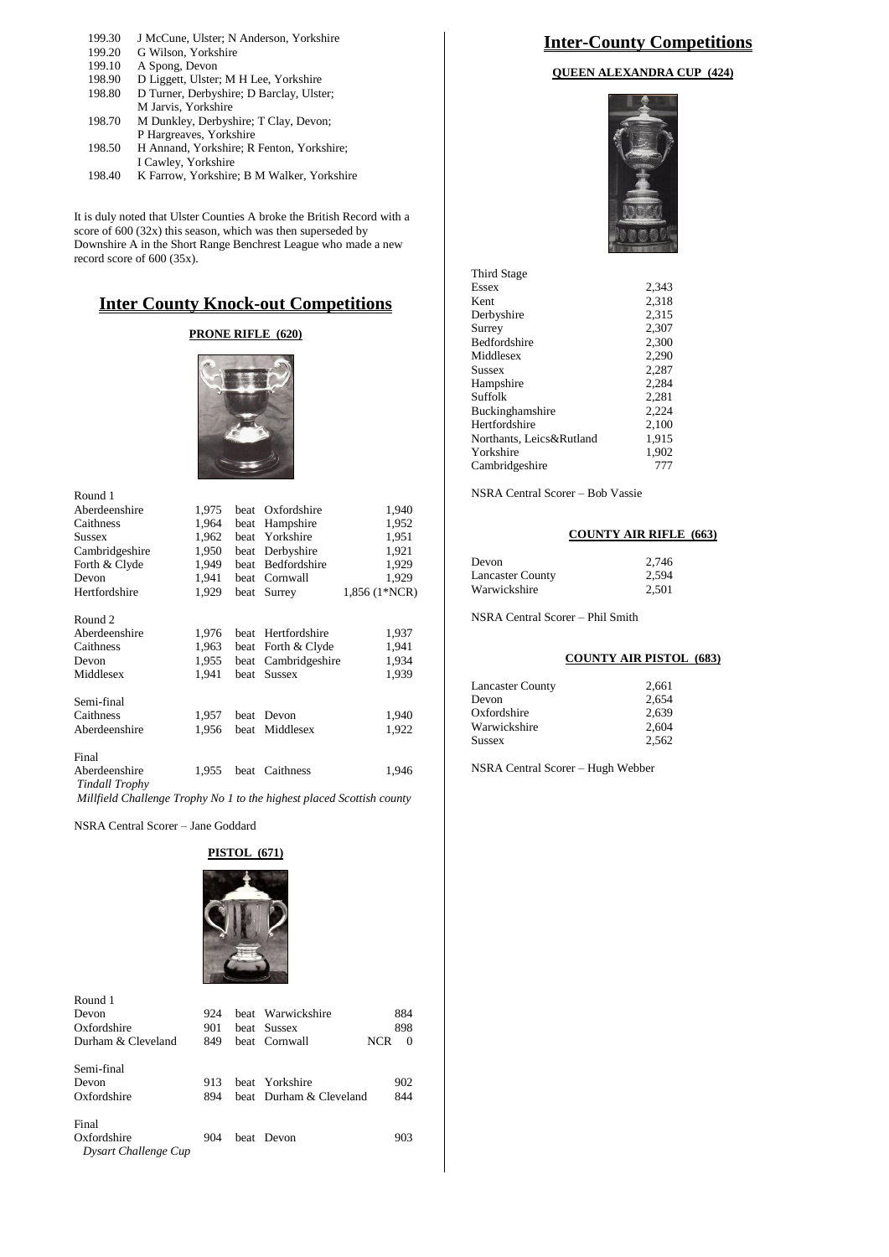| 199.30 | J McCune, Ulster; N Anderson, Yorkshire    |
|--------|--------------------------------------------|
| 199.20 | G Wilson, Yorkshire                        |
| 199.10 | A Spong, Devon                             |
| 198.90 | D Liggett, Ulster; M H Lee, Yorkshire      |
| 198.80 | D Turner, Derbyshire; D Barclay, Ulster;   |
|        | M Jarvis, Yorkshire                        |
| 198.70 | M Dunkley, Derbyshire; T Clay, Devon;      |
|        | P Hargreaves, Yorkshire                    |
| 198.50 | H Annand, Yorkshire; R Fenton, Yorkshire;  |
|        | I Cawley, Yorkshire                        |
| 198.40 | K Farrow, Yorkshire; B M Walker, Yorkshire |

It is duly noted that Ulster Counties A broke the British Record with a score of 600 (32x) this season, which was then superseded by Downshire A in the Short Range Benchrest League who made a new record score of 600 (35x).

### **Inter County Knock-out Competitions**

### **PRONE RIFLE (620)**



| Round 1                                |       |             |                  |               |
|----------------------------------------|-------|-------------|------------------|---------------|
| Aberdeenshire                          | 1,975 |             | beat Oxfordshire | 1,940         |
| Caithness                              | 1,964 | beat        | Hampshire        | 1,952         |
| Sussex                                 | 1,962 | <b>beat</b> | Yorkshire        | 1,951         |
| Cambridgeshire                         | 1,950 | beat        | Derbyshire       | 1,921         |
| Forth & Clyde                          | 1,949 | beat        | Bedfordshire     | 1,929         |
| Devon                                  | 1,941 | beat        | Cornwall         | 1,929         |
| Hertfordshire                          | 1,929 |             | beat Surrey      | 1,856 (1*NCR) |
| Round <sub>2</sub>                     |       |             |                  |               |
| Aberdeenshire                          | 1,976 | heat        | Hertfordshire    | 1,937         |
| Caithness                              | 1,963 | beat        | Forth & Clyde    | 1,941         |
| Devon                                  | 1,955 | beat        | Cambridgeshire   | 1,934         |
| Middlesex                              | 1,941 | <b>beat</b> | <b>Sussex</b>    | 1,939         |
| Semi-final                             |       |             |                  |               |
| Caithness                              | 1,957 | <b>beat</b> | Devon            | 1,940         |
| Aberdeenshire                          | 1,956 | beat        | Middlesex        | 1,922         |
| Final                                  |       |             |                  |               |
| Aberdeenshire<br><b>Tindall Trophy</b> | 1.955 | beat        | Caithness        | 1,946         |

*Millfield Challenge Trophy No 1 to the highest placed Scottish county*

NSRA Central Scorer – Jane Goddard

#### **PISTOL (671)**



| Round 1<br>Devon<br>Oxfordshire              | 924<br>901 | heat Warwickshire<br>beat Sussex          | 884<br>898             |
|----------------------------------------------|------------|-------------------------------------------|------------------------|
| Durham & Cleveland                           | 849        | beat Cornwall                             | <b>NCR</b><br>$\Omega$ |
| Semi-final<br>Devon<br>Oxfordshire           | 913<br>894 | beat Yorkshire<br>beat Durham & Cleveland | 902<br>844             |
| Final<br>Oxfordshire<br>Dysart Challenge Cup | 904        | beat Devon                                | 903                    |

### **Inter-County Competitions**

#### **QUEEN ALEXANDRA CUP (424)**



| Third Stage              |       |
|--------------------------|-------|
| Essex                    | 2.343 |
| Kent                     | 2.318 |
| Derbyshire               | 2.315 |
| Surrey                   | 2,307 |
| Bedfordshire             | 2.300 |
| Middlesex                | 2,290 |
| Sussex                   | 2.287 |
| Hampshire                | 2.284 |
| Suffolk                  | 2,281 |
| Buckinghamshire          | 2,224 |
| Hertfordshire            | 2.100 |
| Northants, Leics&Rutland | 1,915 |
| Yorkshire                | 1,902 |
| Cambridgeshire           | 777   |
|                          |       |

NSRA Central Scorer – Bob Vassie

#### **COUNTY AIR RIFLE (663)**

| Devon                   | 2.746 |
|-------------------------|-------|
| <b>Lancaster County</b> | 2.594 |
| Warwickshire            | 2.501 |

NSRA Central Scorer – Phil Smith

#### **COUNTY AIR PISTOL (683)**

| <b>Lancaster County</b> | 2,661 |
|-------------------------|-------|
| Devon                   | 2.654 |
| Oxfordshire             | 2.639 |
| Warwickshire            | 2.604 |
| <b>Sussex</b>           | 2.562 |
|                         |       |

NSRA Central Scorer – Hugh Webber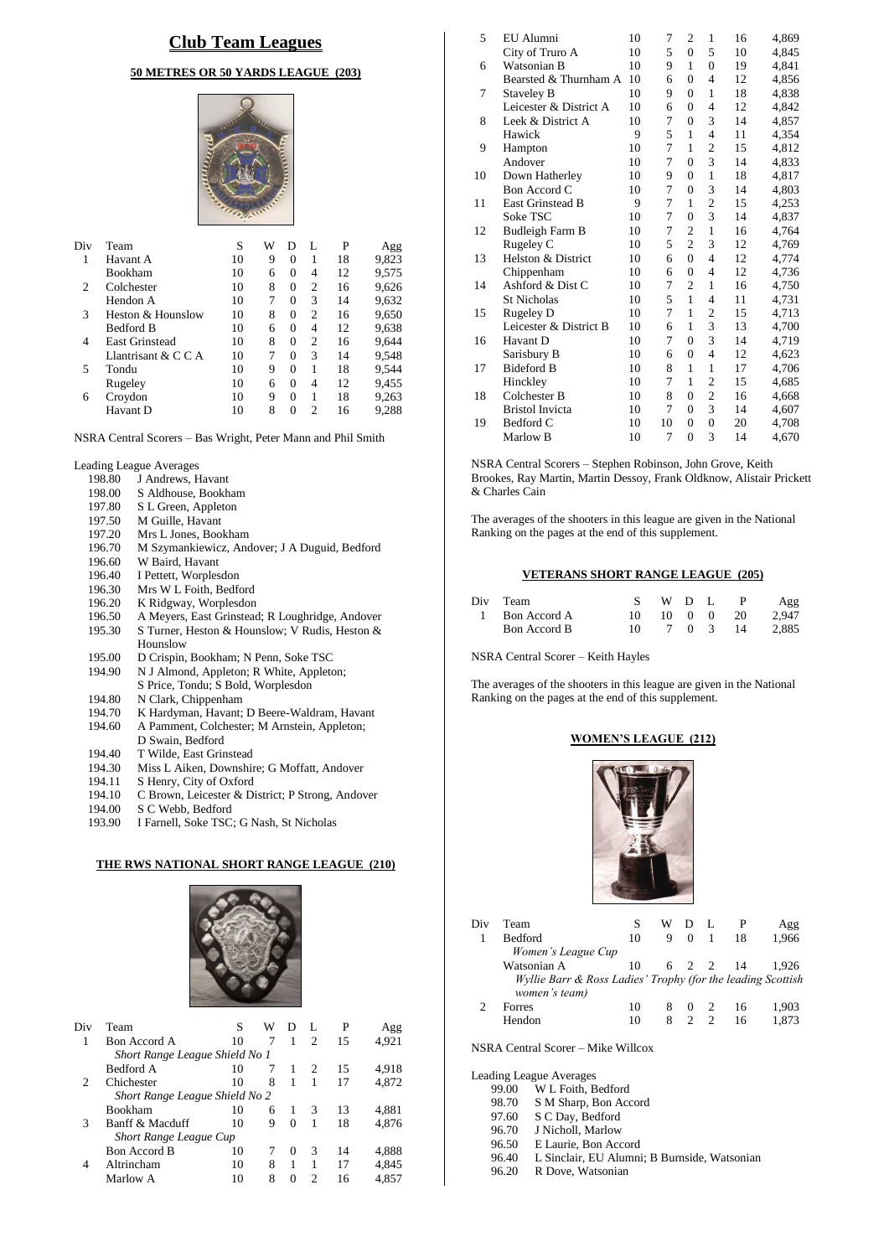### **Club Team Leagues**

#### **50 METRES OR 50 YARDS LEAGUE (203)**



| Team                  | S  | W | D        | L              | P  | Agg   |
|-----------------------|----|---|----------|----------------|----|-------|
| Havant A              | 10 | 9 | 0        |                | 18 | 9,823 |
| <b>Bookham</b>        | 10 | 6 | 0        | 4              | 12 | 9,575 |
| Colchester            | 10 | 8 | 0        | 2              | 16 | 9,626 |
| Hendon A              | 10 | 7 | 0        | 3              | 14 | 9,632 |
| Heston & Hounslow     | 10 | 8 | 0        | $\overline{c}$ | 16 | 9,650 |
| <b>Bedford B</b>      | 10 | 6 | $\Omega$ | 4              | 12 | 9,638 |
| <b>East Grinstead</b> | 10 | 8 | 0        | 2              | 16 | 9,644 |
| Llantrisant & $C C A$ | 10 | 7 | 0        | 3              | 14 | 9,548 |
| Tondu                 | 10 | 9 | 0        | 1              | 18 | 9,544 |
| Rugeley               | 10 | 6 | 0        | 4              | 12 | 9,455 |
| Croydon               | 10 | 9 | 0        | 1              | 18 | 9,263 |
| Havant D              | 10 | 8 | 0        | 2              | 16 | 9,288 |
|                       |    |   |          |                |    |       |

NSRA Central Scorers – Bas Wright, Peter Mann and Phil Smith

Leading League Averages<br>198.80 J Andrews, H

- 198.80 J Andrews, Havant<br>198.00 S Aldhouse, Bookh
- 
- 198.00 S Aldhouse, Bookham<br>197.80 S L Green, Appleton 197.80 S L Green, Appleton<br>197.50 M Guille, Havant
- M Guille, Havant
- 
- 197.20 Mrs L Jones, Bookham<br>196.70 M Szymankiewicz, And 196.70 M Szymankiewicz, Andover; J A Duguid, Bedford
- W Baird, Havant
- 196.40 I Pettett, Worplesdon
- 
- 196.30 Mrs W L Foith, Bedford<br>196.20 K Ridgway, Worplesdon
- 196.20 K Ridgway, Worplesdon<br>196.50 A Meyers, East Grinstead
- 196.50 A Meyers, East Grinstead; R Loughridge, Andover 195.30 S Turner, Heston & Hounslow; V Rudis, Heston & S Turner, Heston & Hounslow; V Rudis, Heston & Hounslow
- 195.00 D Crispin, Bookham; N Penn, Soke TSC<br>194.90 N J Almond, Appleton; R White, Appleto N J Almond, Appleton; R White, Appleton;
- S Price, Tondu; S Bold, Worplesdon
- 194.80 N Clark, Chippenham<br>194.70 K Hardyman, Havant:
- 194.70 K Hardyman, Havant; D Beere-Waldram, Havant<br>194.60 A Pamment, Colchester; M Arnstein, Appleton;
- 194.60 A Pamment, Colchester; M Arnstein, Appleton;
- D Swain, Bedford
- 194.40 T Wilde, East Grinstead<br>194.30 Miss L Aiken, Downship
- Miss L Aiken, Downshire; G Moffatt, Andover
- 194.11 S Henry, City of Oxford
- 194.10 C Brown, Leicester & District; P Strong, Andover
- 194.00 S C Webb, Bedford<br>193.90 I Farnell, Soke TSC
- 193.90 I Farnell, Soke TSC; G Nash, St Nicholas

#### **THE RWS NATIONAL SHORT RANGE LEAGUE (210)**



| Div | Team                           | S  | W | Ð        | L              | P  | Agg   |
|-----|--------------------------------|----|---|----------|----------------|----|-------|
| 1   | Bon Accord A                   | 10 | 7 | 1        | $\mathfrak{D}$ | 15 | 4,921 |
|     | Short Range League Shield No 1 |    |   |          |                |    |       |
|     | Bedford A                      | 10 | 7 |          | 2              | 15 | 4.918 |
| 2   | Chichester                     | 10 | 8 | 1        |                | 17 | 4,872 |
|     | Short Range League Shield No 2 |    |   |          |                |    |       |
|     | Bookham                        | 10 | 6 | 1        | 3              | 13 | 4.881 |
| 3   | Banff & Macduff                | 10 | 9 | 0        |                | 18 | 4,876 |
|     | Short Range League Cup         |    |   |          |                |    |       |
|     | <b>Bon Accord B</b>            | 10 |   | $\Omega$ | 3              | 14 | 4,888 |
| 4   | Altrincham                     | 10 | 8 | 1        | 1              | 17 | 4.845 |
|     | Marlow A                       | 10 | 8 | 0        | っ              | 16 | 4.857 |

| 5  | EU Alumni               | 10 | 7  | 2              | 1              | 16 | 4,869 |
|----|-------------------------|----|----|----------------|----------------|----|-------|
|    | City of Truro A         | 10 | 5  | $\theta$       | 5              | 10 | 4,845 |
| 6  | Watsonian B             | 10 | 9  | $\mathbf{1}$   | $\theta$       | 19 | 4.841 |
|    | Bearsted & Thurnham A   | 10 | 6  | $\theta$       | 4              | 12 | 4,856 |
| 7  | <b>Staveley B</b>       | 10 | 9  | $\theta$       | $\mathbf{1}$   | 18 | 4,838 |
|    | Leicester & District A  | 10 | 6  | $\theta$       | 4              | 12 | 4,842 |
| 8  | Leek & District A       | 10 | 7  | $\theta$       | 3              | 14 | 4,857 |
|    | Hawick                  | 9  | 5  | 1              | $\overline{4}$ | 11 | 4,354 |
| 9  | Hampton                 | 10 | 7  | $\mathbf{1}$   | $\overline{2}$ | 15 | 4,812 |
|    | Andover                 | 10 | 7  | $\theta$       | 3              | 14 | 4,833 |
| 10 | Down Hatherley          | 10 | 9  | $\overline{0}$ | $\mathbf{1}$   | 18 | 4,817 |
|    | Bon Accord C            | 10 | 7  | $\theta$       | 3              | 14 | 4,803 |
| 11 | <b>East Grinstead B</b> | 9  | 7  | 1              | $\overline{c}$ | 15 | 4,253 |
|    | Soke TSC                | 10 | 7  | $\overline{0}$ | 3              | 14 | 4,837 |
| 12 | Budleigh Farm B         | 10 | 7  | $\overline{2}$ | $\mathbf{1}$   | 16 | 4,764 |
|    | Rugeley C               | 10 | 5  | $\overline{c}$ | 3              | 12 | 4,769 |
| 13 | Helston & District      | 10 | 6  | $\theta$       | $\overline{4}$ | 12 | 4,774 |
|    | Chippenham              | 10 | 6  | $\overline{0}$ | $\overline{4}$ | 12 | 4,736 |
| 14 | Ashford & Dist C        | 10 | 7  | $\overline{c}$ | 1              | 16 | 4,750 |
|    | <b>St Nicholas</b>      | 10 | 5  | 1              | $\overline{4}$ | 11 | 4,731 |
| 15 | <b>Rugeley D</b>        | 10 | 7  | 1              | $\overline{2}$ | 15 | 4,713 |
|    | Leicester & District B  | 10 | 6  | 1              | 3              | 13 | 4,700 |
| 16 | Havant D                | 10 | 7  | $\theta$       | 3              | 14 | 4,719 |
|    | Sarisbury B             | 10 | 6  | $\overline{0}$ | $\overline{4}$ | 12 | 4,623 |
| 17 | <b>Bideford B</b>       | 10 | 8  | 1              | 1              | 17 | 4,706 |
|    | Hinckley                | 10 | 7  | 1              | $\overline{c}$ | 15 | 4,685 |
| 18 | Colchester B            | 10 | 8  | $\theta$       | $\overline{c}$ | 16 | 4,668 |
|    | <b>Bristol Invicta</b>  | 10 | 7  | $\overline{0}$ | 3              | 14 | 4,607 |
| 19 | Bedford C               | 10 | 10 | $\theta$       | $\overline{0}$ | 20 | 4,708 |
|    | Marlow B                | 10 | 7  | $\theta$       | 3              | 14 | 4,670 |
|    |                         |    |    |                |                |    |       |

NSRA Central Scorers – Stephen Robinson, John Grove, Keith Brookes, Ray Martin, Martin Dessoy, Frank Oldknow, Alistair Prickett & Charles Cain

The averages of the shooters in this league are given in the National Ranking on the pages at the end of this supplement.

#### **VETERANS SHORT RANGE LEAGUE (205)**

| Div Team       |     | WDL |  | <sup>P</sup>         | Agg   |
|----------------|-----|-----|--|----------------------|-------|
| 1 Bon Accord A | 10. |     |  | $10 \t 0 \t 0 \t 20$ | 2.947 |
| Bon Accord B   | 10. |     |  | 7 0 3 14             | 2.885 |

NSRA Central Scorer – Keith Hayles

The averages of the shooters in this league are given in the National Ranking on the pages at the end of this supplement.

#### **WOMEN'S LEAGUE (212)**



| Div | Team<br><b>Bedford</b>                                                                           | 10       | w<br>9 | $\Omega$                  |               | 18       | Agg<br>1.966   |
|-----|--------------------------------------------------------------------------------------------------|----------|--------|---------------------------|---------------|----------|----------------|
|     | Women's League Cup<br>Watsonian A<br>Wyllie Barr & Ross Ladies' Trophy (for the leading Scottish | 10       |        |                           |               | 6 2 2 14 | 1.926          |
|     | women's team)<br>Forres<br>Hendon                                                                | 10<br>10 | 8<br>8 | $\theta$<br>$\mathcal{D}$ | $\mathcal{D}$ | 16<br>16 | 1.903<br>1.873 |

NSRA Central Scorer – Mike Willcox

Leading League

|       | iding League Averages                        |
|-------|----------------------------------------------|
| 99.00 | W L Foith, Bedford                           |
| 98.70 | S M Sharp, Bon Accord                        |
| 97.60 | S C Day, Bedford                             |
| 96.70 | J Nicholl, Marlow                            |
| 96.50 | E Laurie, Bon Accord                         |
| 96.40 | L Sinclair, EU Alumni; B Burnside, Watsonian |
| 96.20 | R Dove, Watsonian                            |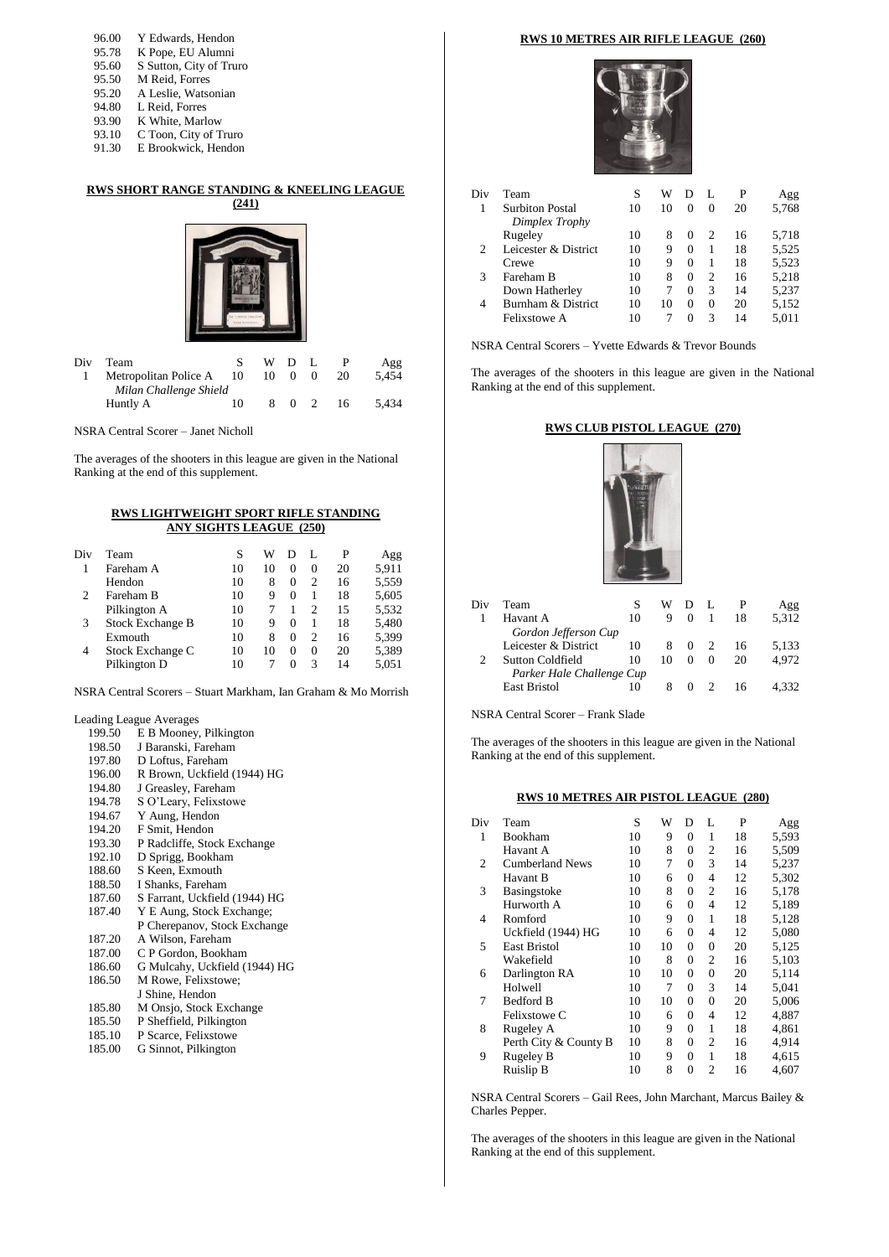| 96.00 | Y Edwards, Hendon       |
|-------|-------------------------|
| 95.78 | K Pope, EU Alumni       |
| 95.60 | S Sutton, City of Truro |
| 95.50 | M Reid, Forres          |
| 95.20 | A Leslie, Watsonian     |
| 94.80 | L Reid, Forres          |
| 93.90 | K White, Marlow         |
| 93.10 | C Toon, City of Truro   |
| 91.30 | E Brookwick, Hendon     |

#### **RWS SHORT RANGE STANDING & KNEELING LEAGUE (241)**



| Div | Team<br>Metropolitan Police A 10   |    | WDL<br>10 0 | $\Omega$ | 20 | Agg<br>5.454 |
|-----|------------------------------------|----|-------------|----------|----|--------------|
|     | Milan Challenge Shield<br>Huntly A | 10 |             | 8 0 2    | 16 | 5.434        |

NSRA Central Scorer – Janet Nicholl

The averages of the shooters in this league are given in the National Ranking at the end of this supplement.

#### **RWS LIGHTWEIGHT SPORT RIFLE STANDING ANY SIGHTS LEAGUE (250)**

| Div | Team                    | S  | W  | D        |          | P  | Agg   |
|-----|-------------------------|----|----|----------|----------|----|-------|
|     | Fareham A               | 10 | 10 | 0        | $\Omega$ | 20 | 5,911 |
|     | Hendon                  | 10 | 8  | 0        | 2        | 16 | 5,559 |
| 2   | Fareham B               | 10 | 9  | 0        |          | 18 | 5,605 |
|     | Pilkington A            | 10 |    |          | 2        | 15 | 5,532 |
| 3   | <b>Stock Exchange B</b> | 10 | 9  | $\Omega$ |          | 18 | 5,480 |
|     | Exmouth                 | 10 | 8  | 0        | 2        | 16 | 5,399 |
| 4   | Stock Exchange C        | 10 | 10 | $\Omega$ | $\Omega$ | 20 | 5,389 |
|     | Pilkington D            | 10 |    | $\Omega$ | 3        | 14 | 5,051 |
|     |                         |    |    |          |          |    |       |

NSRA Central Scorers – Stuart Markham, Ian Graham & Mo Morrish

Leading League Averages

- 199.50 E B Mooney, Pilkington<br>198.50 J Baranski, Fareham
- 198.50 J Baranski, Fareham<br>197.80 D Loftus, Fareham
- D Loftus, Fareham 196.00 R Brown, Uckfield (1944) HG<br>194.80 J Greasley, Fareham 194.80 J Greasley, Fareham<br>194.78 S O'Leary, Felixstow S O'Leary, Felixstowe 194.67 Y Aung, Hendon<br>194.20 F Smit, Hendon 194.20 F Smit, Hendon<br>193.30 P Radcliffe, Stoc 193.30 P Radcliffe, Stock Exchange<br>192.10 D Sprigg, Bookham 192.10 D Sprigg, Bookham<br>188.60 S Keen, Exmouth 188.60 S Keen, Exmouth<br>188.50 I Shanks, Farehan 188.50 I Shanks, Fareham<br>187.60 S Farrant, Uckfield S Farrant, Uckfield (1944) HG 187.40 Y E Aung, Stock Exchange; P Cherepanov, Stock Exchange 187.20 A Wilson, Fareham<br>187.00 C P Gordon, Bookha C P Gordon, Bookham
- 186.60 G Mulcahy, Uckfield (1944) HG
- 186.50 M Rowe, Felixstowe;
- J Shine, Hendon
- 185.80 M Onsjo, Stock Exchange<br>185.50 P Sheffield, Pilkington
- 185.50 P Sheffield, Pilkington<br>185.10 P Scarce, Felixstowe P Scarce, Felixstowe
- 185.00 G Sinnot, Pilkington

#### **RWS 10 METRES AIR RIFLE LEAGUE (260)**



| Div | Team                   | S  | W  |          | L        | P  | Agg   |
|-----|------------------------|----|----|----------|----------|----|-------|
|     | <b>Surbiton Postal</b> | 10 | 10 | 0        | $\Omega$ | 20 | 5,768 |
|     | Dimplex Trophy         |    |    |          |          |    |       |
|     | Rugeley                | 10 | 8  | $\Omega$ | 2        | 16 | 5,718 |
| 2   | Leicester & District   | 10 | 9  | $\Omega$ |          | 18 | 5,525 |
|     | Crewe                  | 10 | 9  | 0        | 1        | 18 | 5,523 |
| 3   | Fareham B              | 10 | 8  | $\Omega$ | 2        | 16 | 5,218 |
|     | Down Hatherley         | 10 | 7  | 0        | 3        | 14 | 5,237 |
| 4   | Burnham & District     | 10 | 10 | $\Omega$ | $\Omega$ | 20 | 5,152 |
|     | Felixstowe A           | 10 |    | 0        | 3        | 14 | 5.011 |
|     |                        |    |    |          |          |    |       |

NSRA Central Scorers – Yvette Edwards & Trevor Bounds

The averages of the shooters in this league are given in the National Ranking at the end of this supplement.

#### **RWS CLUB PISTOL LEAGUE (270)**



| Div | Team                      |    | w  |          |          |    | Agg   |  |
|-----|---------------------------|----|----|----------|----------|----|-------|--|
|     | Havant A                  | 10 | 9  | $\Omega$ |          | 18 | 5.312 |  |
|     | Gordon Jefferson Cup      |    |    |          |          |    |       |  |
|     | Leicester & District      | 10 | 8  | $\theta$ |          | 16 | 5.133 |  |
|     | <b>Sutton Coldfield</b>   | 10 | 10 | $\Omega$ | $\Omega$ | 20 | 4.972 |  |
|     | Parker Hale Challenge Cup |    |    |          |          |    |       |  |
|     | <b>East Bristol</b>       | 10 |    | $\theta$ |          | 16 |       |  |
|     |                           |    |    |          |          |    |       |  |

NSRA Central Scorer – Frank Slade

The averages of the shooters in this league are given in the National Ranking at the end of this supplement.

#### **RWS 10 METRES AIR PISTOL LEAGUE (280)**

| Div            | Team                   | S  | W  | D              | L              | P  | Agg   |
|----------------|------------------------|----|----|----------------|----------------|----|-------|
| 1              | Bookham                | 10 | 9  | $\Omega$       | 1              | 18 | 5,593 |
|                | Havant A               | 10 | 8  | 0              | 2              | 16 | 5,509 |
| $\overline{c}$ | <b>Cumberland News</b> | 10 | 7  | 0              | 3              | 14 | 5,237 |
|                | Havant B               | 10 | 6  | $\theta$       | 4              | 12 | 5,302 |
| 3              | Basingstoke            | 10 | 8  | $\theta$       | $\overline{c}$ | 16 | 5,178 |
|                | Hurworth A             | 10 | 6  | $\overline{0}$ | 4              | 12 | 5,189 |
| 4              | Romford                | 10 | 9  | $\theta$       | $\mathbf{1}$   | 18 | 5,128 |
|                | Uckfield (1944) HG     | 10 | 6  | 0              | 4              | 12 | 5,080 |
| 5              | <b>East Bristol</b>    | 10 | 10 | $\theta$       | $\theta$       | 20 | 5,125 |
|                | Wakefield              | 10 | 8  | $\theta$       | $\overline{2}$ | 16 | 5.103 |
| 6              | Darlington RA          | 10 | 10 | $\theta$       | $\theta$       | 20 | 5,114 |
|                | Holwell                | 10 | 7  | $\overline{0}$ | 3              | 14 | 5,041 |
| 7              | Bedford B              | 10 | 10 | $\overline{0}$ | $\Omega$       | 20 | 5,006 |
|                | Felixstowe C           | 10 | 6  | $\Omega$       | 4              | 12 | 4,887 |
| 8              | Rugeley A              | 10 | 9  | 0              | 1              | 18 | 4,861 |
|                | Perth City & County B  | 10 | 8  | $\theta$       | $\overline{c}$ | 16 | 4,914 |
| 9              | Rugeley B              | 10 | 9  | 0              | 1              | 18 | 4,615 |
|                | Ruislip B              | 10 | 8  | $\Omega$       | $\mathfrak{D}$ | 16 | 4,607 |

NSRA Central Scorers – Gail Rees, John Marchant, Marcus Bailey & Charles Pepper.

The averages of the shooters in this league are given in the National Ranking at the end of this supplement.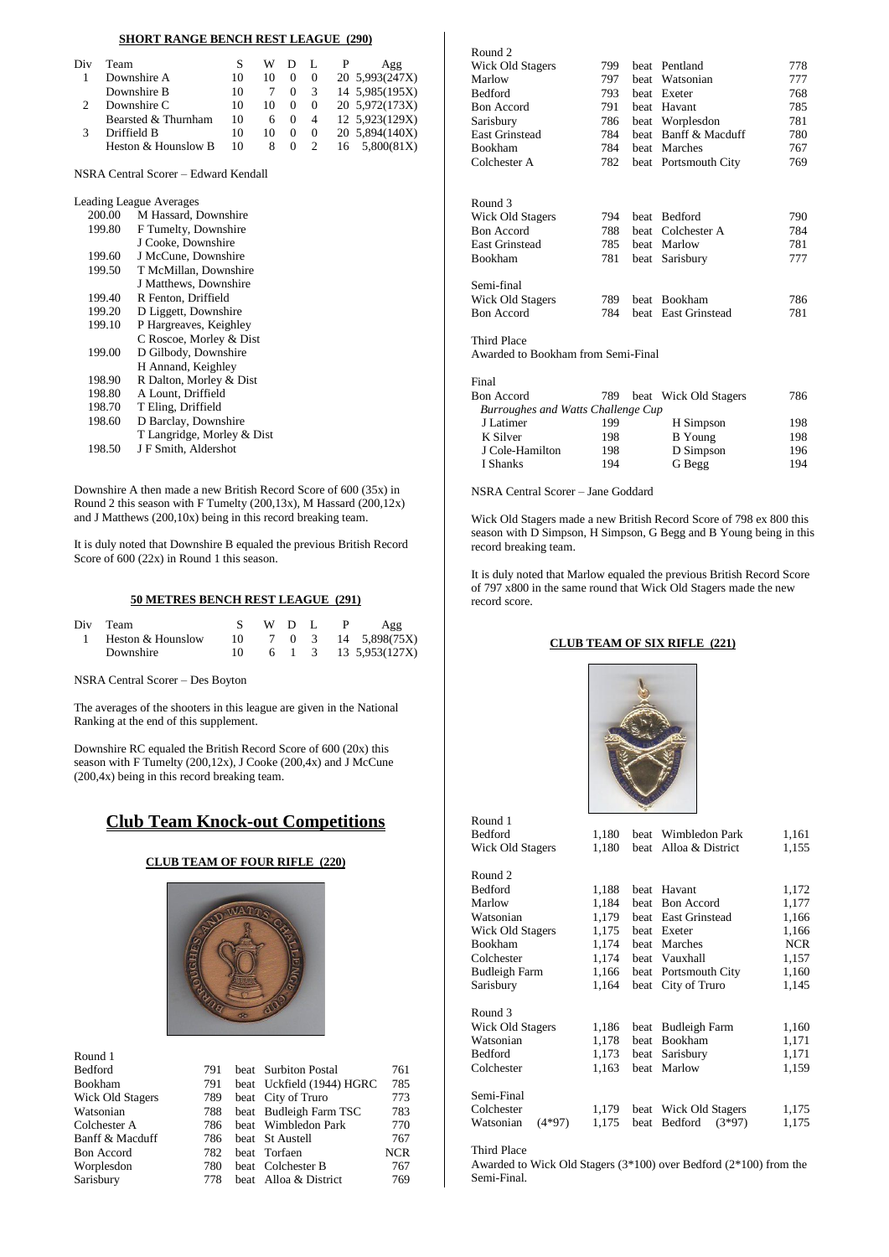#### **SHORT RANGE BENCH REST LEAGUE (290)**

| Div | Team                |    | WD. |          |                | Agg            |
|-----|---------------------|----|-----|----------|----------------|----------------|
|     | Downshire A         | 10 | 10  |          | $\Omega$       | 20 5,993(247X) |
|     | Downshire B         | 10 |     | $\theta$ | 3              | 14 5,985(195X) |
|     | Downshire C         | 10 | 10  | 0        |                | 20 5,972(173X) |
|     | Bearsted & Thurnham | 10 | 6   | $\theta$ | $\overline{4}$ | 12 5,923(129X) |
|     | Driffield B         | 10 | 10  | $\theta$ | $\Omega$       | 20 5,894(140X) |
|     | Heston & Hounslow B | 10 | 8   | $\theta$ |                | 16 5.800(81X)  |
|     |                     |    |     |          |                |                |

NSRA Central Scorer – Edward Kendall

Leading League Averages

| xaunig League Averages     |
|----------------------------|
| M Hassard, Downshire       |
| F Tumelty, Downshire       |
| J Cooke, Downshire         |
| J McCune, Downshire        |
| T McMillan, Downshire      |
| J Matthews, Downshire      |
| R Fenton, Driffield        |
| D Liggett, Downshire       |
| P Hargreaves, Keighley     |
| C Roscoe, Morley & Dist    |
| D Gilbody, Downshire       |
| H Annand, Keighley         |
| R Dalton, Morley & Dist    |
| A Lount, Driffield         |
| T Eling, Driffield         |
| D Barclay, Downshire       |
| T Langridge, Morley & Dist |
| J F Smith, Aldershot       |
|                            |

Downshire A then made a new British Record Score of 600 (35x) in Round 2 this season with F Tumelty (200,13x), M Hassard (200,12x) and J Matthews (200,10x) being in this record breaking team.

It is duly noted that Downshire B equaled the previous British Record Score of 600 (22x) in Round 1 this season.

### **50 METRES BENCH REST LEAGUE (291)**

| Div Team            |                 | WD L |  | $\mathbf{P}$ | Agg                                     |
|---------------------|-----------------|------|--|--------------|-----------------------------------------|
| 1 Heston & Hounslow |                 |      |  |              | $10 \t 7 \t 0 \t 3 \t 14 \t 5,898(75X)$ |
| Downshire           | $\overline{10}$ |      |  |              | 6 1 3 13 5.953(127X)                    |

NSRA Central Scorer – Des Boyton

The averages of the shooters in this league are given in the National Ranking at the end of this supplement.

Downshire RC equaled the British Record Score of 600 (20x) this season with F Tumelty (200,12x), J Cooke (200,4x) and J McCune (200,4x) being in this record breaking team.

### **Club Team Knock-out Competitions**

### **CLUB TEAM OF FOUR RIFLE (220)**



| Round 1           |     |                           |            |
|-------------------|-----|---------------------------|------------|
| <b>Bedford</b>    | 791 | beat Surbiton Postal      | 761        |
| <b>Bookham</b>    | 791 | beat Uckfield (1944) HGRC | 785        |
| Wick Old Stagers  | 789 | beat City of Truro        | 773        |
| Watsonian         | 788 | beat Budleigh Farm TSC    | 783        |
| Colchester A      | 786 | beat Wimbledon Park       | 770        |
| Banff & Macduff   | 786 | beat St Austell           | 767        |
| <b>Bon</b> Accord | 782 | beat Torfaen              | <b>NCR</b> |
| Worplesdon        | 780 | beat Colchester B         | 767        |
| Sarisbury         | 778 | beat Alloa & District     | 769        |

| Wick Old Stagers      | 799 | <b>beat</b> | Pentland             | 778 |
|-----------------------|-----|-------------|----------------------|-----|
| Marlow                | 797 | beat        | Watsonian            | 777 |
| Bedford               | 793 | beat        | Exeter               | 768 |
| <b>Bon Accord</b>     | 791 | <b>beat</b> | Havant               | 785 |
| Sarisbury             | 786 | beat        | Worplesdon           | 781 |
| <b>East Grinstead</b> | 784 | beat        | Banff & Macduff      | 780 |
| <b>Bookham</b>        | 784 | beat        | Marches              | 767 |
| Colchester A          | 782 |             | beat Portsmouth City | 769 |
|                       |     |             |                      |     |
| Round 3               |     |             |                      |     |
| Wick Old Stagers      | 794 | <b>beat</b> | <b>Bedford</b>       | 790 |
| <b>Bon Accord</b>     | 788 | beat        | Colchester A         | 784 |
| <b>East Grinstead</b> | 785 | beat        | Marlow               | 781 |
| Bookham               | 781 | beat        | Sarisbury            | 777 |
| Semi-final            |     |             |                      |     |
| Wick Old Stagers      | 789 | beat        | Bookham              | 786 |
| <b>Bon Accord</b>     | 784 | beat        | East Grinstead       | 781 |
| Third Place           |     |             |                      |     |
|                       |     | .           |                      |     |

Awarded to Bookham from Semi-Final

Round 2

| Final                              |     |  |                       |     |  |  |  |  |  |
|------------------------------------|-----|--|-----------------------|-----|--|--|--|--|--|
| <b>Bon Accord</b>                  | 789 |  | beat Wick Old Stagers | 786 |  |  |  |  |  |
| Burroughes and Watts Challenge Cup |     |  |                       |     |  |  |  |  |  |
| J Latimer                          | 199 |  | H Simpson             | 198 |  |  |  |  |  |
| K Silver                           | 198 |  | <b>B</b> Young        | 198 |  |  |  |  |  |
| J Cole-Hamilton                    | 198 |  | D Simpson             | 196 |  |  |  |  |  |
| I Shanks                           | 194 |  | G Begg                | 194 |  |  |  |  |  |
|                                    |     |  |                       |     |  |  |  |  |  |

NSRA Central Scorer – Jane Goddard

Wick Old Stagers made a new British Record Score of 798 ex 800 this season with D Simpson, H Simpson, G Begg and B Young being in this record breaking team.

It is duly noted that Marlow equaled the previous British Record Score of 797 x800 in the same round that Wick Old Stagers made the new record score.

#### **CLUB TEAM OF SIX RIFLE (221)**



| Round 1               |       |             |                       |            |
|-----------------------|-------|-------------|-----------------------|------------|
| Bedford               | 1,180 | beat        | Wimbledon Park        | 1,161      |
| Wick Old Stagers      | 1,180 | beat        | Alloa & District      | 1,155      |
| Round 2               |       |             |                       |            |
| Bedford               | 1,188 | beat        | Havant                | 1,172      |
| Marlow                | 1,184 | <b>beat</b> | <b>Bon Accord</b>     | 1,177      |
| Watsonian             | 1,179 | beat        | <b>East Grinstead</b> | 1,166      |
| Wick Old Stagers      | 1,175 | <b>beat</b> | Exeter                | 1,166      |
| Bookham               | 1,174 | <b>beat</b> | Marches               | <b>NCR</b> |
| Colchester            | 1,174 | beat        | Vauxhall              | 1,157      |
| <b>Budleigh Farm</b>  | 1,166 | beat        | Portsmouth City       | 1,160      |
| Sarisbury             | 1,164 | beat        | City of Truro         | 1,145      |
| Round <sub>3</sub>    |       |             |                       |            |
| Wick Old Stagers      | 1,186 | beat        | <b>Budleigh Farm</b>  | 1,160      |
| Watsonian             | 1,178 | <b>beat</b> | Bookham               | 1,171      |
| Bedford               | 1,173 | beat        | Sarisbury             | 1,171      |
| Colchester            | 1,163 | <b>beat</b> | Marlow                | 1,159      |
| Semi-Final            |       |             |                       |            |
| Colchester            | 1,179 | beat        | Wick Old Stagers      | 1,175      |
| $(4*97)$<br>Watsonian | 1,175 | beat        | Bedford<br>$(3*97)$   | 1,175      |
| Third Place           |       |             |                       |            |

Awarded to Wick Old Stagers (3\*100) over Bedford (2\*100) from the Semi-Final.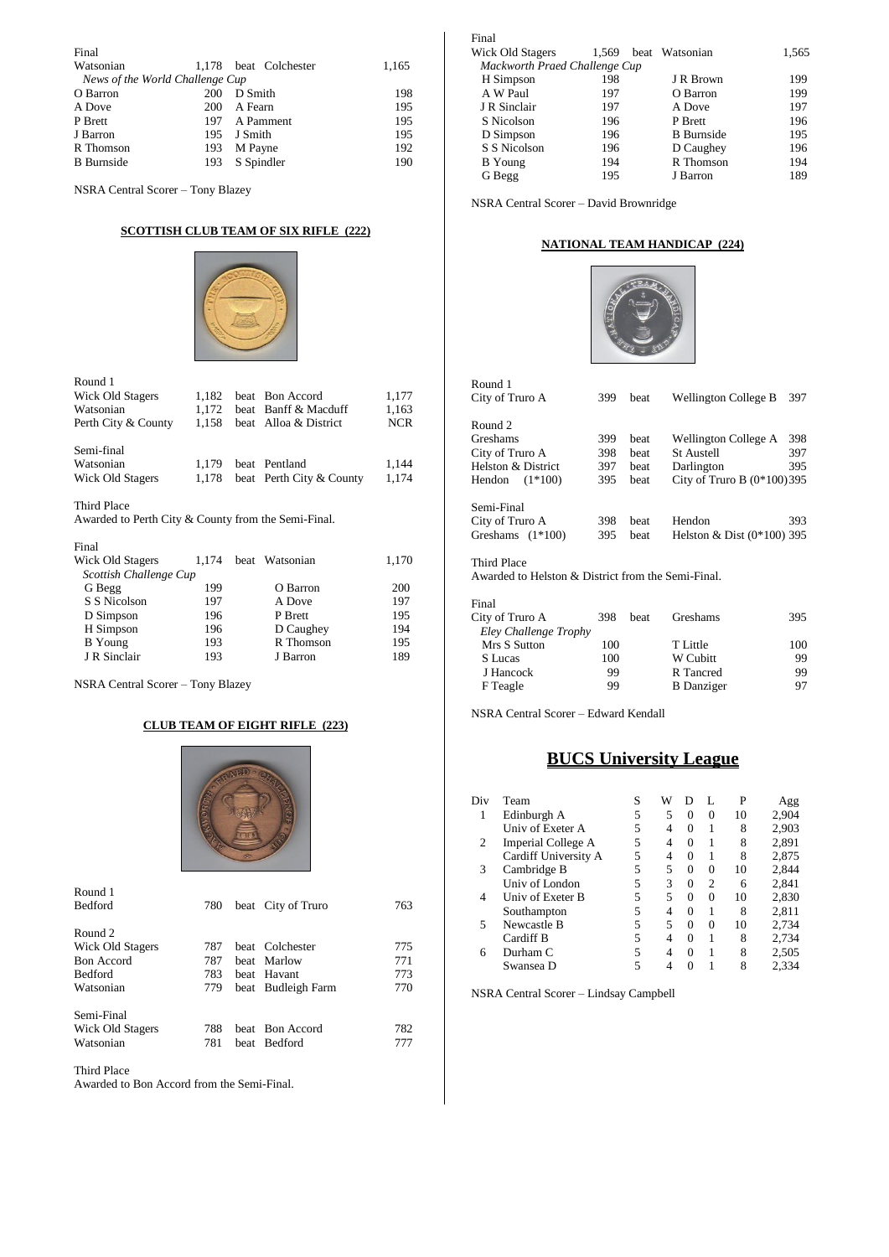| Final                           |     |                       |       |  |  |  |  |  |  |  |
|---------------------------------|-----|-----------------------|-------|--|--|--|--|--|--|--|
| Watsonian                       |     | 1,178 beat Colchester | 1,165 |  |  |  |  |  |  |  |
| News of the World Challenge Cup |     |                       |       |  |  |  |  |  |  |  |
| O Barron                        | 200 | D Smith               | 198   |  |  |  |  |  |  |  |
| A Dove                          | 200 | A Fearn               | 195   |  |  |  |  |  |  |  |
| P Brett                         | 197 | A Pamment             | 195   |  |  |  |  |  |  |  |
| J Barron                        | 195 | J Smith               | 195   |  |  |  |  |  |  |  |
| R Thomson                       | 193 | M Payne               | 192   |  |  |  |  |  |  |  |
| <b>B</b> Burnside               | 193 | S Spindler            | 190   |  |  |  |  |  |  |  |

NSRA Central Scorer – Tony Blazey

#### **SCOTTISH CLUB TEAM OF SIX RIFLE (222)**



| Round 1                                                            |       |      |                          |            |
|--------------------------------------------------------------------|-------|------|--------------------------|------------|
| Wick Old Stagers                                                   | 1,182 |      | beat Bon Accord          | 1,177      |
| Watsonian                                                          | 1,172 | beat | Banff & Macduff          | 1,163      |
| Perth City & County                                                | 1,158 |      | beat Alloa & District    | <b>NCR</b> |
| Semi-final                                                         |       |      |                          |            |
| Watsonian                                                          | 1,179 |      | beat Pentland            | 1,144      |
| Wick Old Stagers                                                   | 1,178 |      | beat Perth City & County | 1,174      |
| Third Place<br>Awarded to Perth City & County from the Semi-Final. |       |      |                          |            |
| Final                                                              |       |      |                          |            |
| <b>Wick Old Stagers</b>                                            | 1,174 |      | beat Watsonian           | 1,170      |
| Scottish Challenge Cup                                             |       |      |                          |            |
| G Begg                                                             | 199   |      | O Barron                 | 200        |
| S S Nicolson                                                       | 197   |      | A Dove                   | 197        |
| D Simpson                                                          | 196   |      | P Brett                  | 195        |
| H Simpson                                                          | 196   |      | D Caughey                | 194        |
| <b>B</b> Young                                                     | 193   |      | R Thomson                | 195        |
| J R Sinclair                                                       | 193   |      | J Barron                 | 189        |

NSRA Central Scorer – Tony Blazey

#### **CLUB TEAM OF EIGHT RIFLE (223)**



| Round 1<br>Bedford | 780 | beat City of Truro | 763 |
|--------------------|-----|--------------------|-----|
| Round 2            |     |                    |     |
| Wick Old Stagers   | 787 | beat Colchester    | 775 |
| <b>Bon</b> Accord  | 787 | beat Marlow        | 771 |
| <b>Bedford</b>     | 783 | beat Havant        | 773 |
| Watsonian          | 779 | beat Budleigh Farm | 770 |
| Semi-Final         |     |                    |     |
| Wick Old Stagers   | 788 | beat Bon Accord    | 782 |
| Watsonian          | 781 | beat Bedford       | 777 |
|                    |     |                    |     |

Third Place

Awarded to Bon Accord from the Semi-Final.

| Final                         |       |                   |       |
|-------------------------------|-------|-------------------|-------|
| Wick Old Stagers              | 1,569 | beat Watsonian    | 1,565 |
| Mackworth Praed Challenge Cup |       |                   |       |
| H Simpson                     | 198   | J R Brown         | 199   |
| A W Paul                      | 197   | O Barron          | 199   |
| J R Sinclair                  | 197   | A Dove            | 197   |
| S Nicolson                    | 196   | P Brett           | 196   |
| D Simpson                     | 196   | <b>B</b> Burnside | 195   |
| S S Nicolson                  | 196   | D Caughey         | 196   |
| B Young                       | 194   | R Thomson         | 194   |
| G Begg                        | 195   | J Barron          | 189   |
|                               |       |                   |       |

NSRA Central Scorer – David Brownridge

#### **NATIONAL TEAM HANDICAP (224)**



| Round 1<br>City of Truro A                                                              | 399        | beat | Wellington College B         | 397 |
|-----------------------------------------------------------------------------------------|------------|------|------------------------------|-----|
| Round 2                                                                                 |            |      |                              |     |
| Greshams                                                                                | 399        | beat | Wellington College A         | 398 |
| City of Truro A                                                                         | 398        | beat | <b>St Austell</b>            | 397 |
| Helston & District                                                                      | 397        | beat | Darlington                   | 395 |
| $(1*100)$<br>Hendon                                                                     | 395        | beat | City of Truro B $(0*100)395$ |     |
| Semi-Final<br>City of Truro A                                                           | 398<br>395 | beat | Hendon                       | 393 |
| Greshams $(1*100)$<br>Third Place<br>Awarded to Helston & District from the Semi-Final. |            | beat | Helston & Dist $(0*100)$ 395 |     |
| Final                                                                                   |            |      |                              |     |
| City of Truro A                                                                         | 398        | beat | Greshams                     | 395 |

| City of Truro A       | 398 | beat | Greshams          | 395 |
|-----------------------|-----|------|-------------------|-----|
| Eley Challenge Trophy |     |      |                   |     |
| Mrs S Sutton          | 100 |      | T Little          | 100 |
| S Lucas               | 100 |      | W Cubitt          | 99  |
| J Hancock             | 99  |      | R Tancred         | 99  |
| F Teagle              | 99  |      | <b>B</b> Danziger | 97  |
|                       |     |      |                   |     |

NSRA Central Scorer – Edward Kendall

### **BUCS University League**

| Div | Team                 | S | W | Ð        |                | P  | Agg   |
|-----|----------------------|---|---|----------|----------------|----|-------|
| 1   | Edinburgh A          | 5 | 5 | $\Omega$ | $\Omega$       | 10 | 2,904 |
|     | Univ of Exeter A     | 5 | 4 | $\Omega$ |                | 8  | 2,903 |
| 2   | Imperial College A   | 5 | 4 | $\Omega$ | 1              | 8  | 2,891 |
|     | Cardiff University A | 5 | 4 | $\Omega$ |                | 8  | 2,875 |
| 3   | Cambridge B          | 5 | 5 | $\Omega$ | $\Omega$       | 10 | 2,844 |
|     | Univ of London       | 5 | 3 | $\Omega$ | $\overline{c}$ | 6  | 2,841 |
| 4   | Univ of Exeter B     | 5 | 5 | $\Omega$ | $\Omega$       | 10 | 2,830 |
|     | Southampton          | 5 | 4 | $\Omega$ |                | 8  | 2,811 |
| 5   | Newcastle B          | 5 | 5 | $\Omega$ | $\theta$       | 10 | 2,734 |
|     | Cardiff B            | 5 | 4 | $\Omega$ | 1              | 8  | 2,734 |
| 6   | Durham C             | 5 | 4 | $\Omega$ | 1              | 8  | 2,505 |
|     | Swansea D            | 5 |   |          |                | 8  | 2,334 |

NSRA Central Scorer – Lindsay Campbell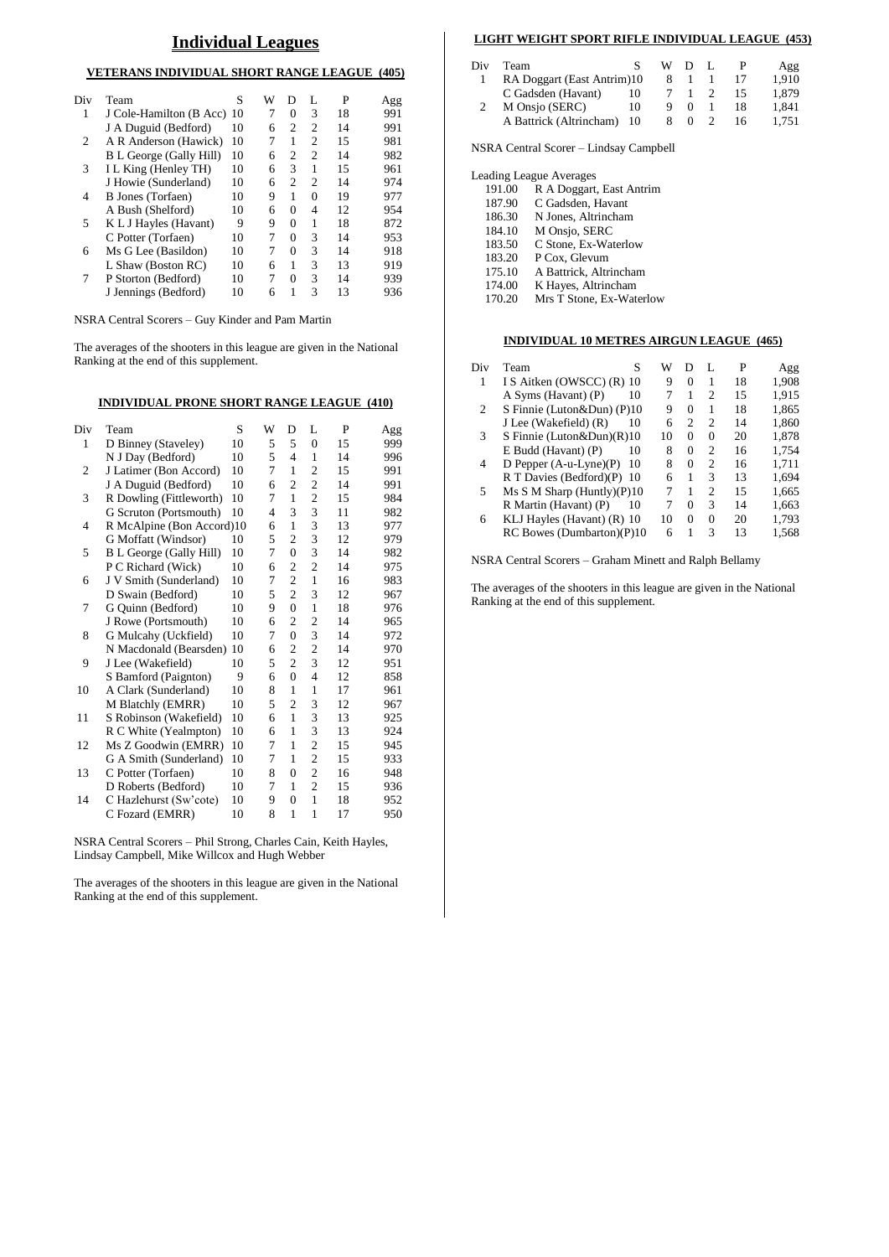### **Individual Leagues**

#### **VETERANS INDIVIDUAL SHORT RANGE LEAGUE (405)**

| Div | Team                       | S  | W | Ð              | L              | P  | Agg |
|-----|----------------------------|----|---|----------------|----------------|----|-----|
| 1   | J Cole-Hamilton (B Acc) 10 |    | 7 | 0              | 3              | 18 | 991 |
|     | J A Duguid (Bedford)       | 10 | 6 | $\overline{c}$ | $\overline{c}$ | 14 | 991 |
| 2   | A R Anderson (Hawick)      | 10 | 7 | 1              | $\overline{c}$ | 15 | 981 |
|     | B L George (Gally Hill)    | 10 | 6 | 2              | $\overline{c}$ | 14 | 982 |
| 3   | I L King (Henley TH)       | 10 | 6 | 3              | 1              | 15 | 961 |
|     | J Howie (Sunderland)       | 10 | 6 | $\mathfrak{D}$ | $\overline{c}$ | 14 | 974 |
| 4   | B Jones (Torfaen)          | 10 | 9 | 1              | 0              | 19 | 977 |
|     | A Bush (Shelford)          | 10 | 6 | 0              | 4              | 12 | 954 |
| 5   | K L J Hayles (Havant)      | 9  | 9 | $\Omega$       | 1              | 18 | 872 |
|     | C Potter (Torfaen)         | 10 | 7 | $\Omega$       | 3              | 14 | 953 |
| 6   | Ms G Lee (Basildon)        | 10 | 7 | $\Omega$       | 3              | 14 | 918 |
|     | L Shaw (Boston RC)         | 10 | 6 | 1              | 3              | 13 | 919 |
| 7   | P Storton (Bedford)        | 10 | 7 | $\theta$       | 3              | 14 | 939 |
|     | J Jennings (Bedford)       | 10 | 6 | 1              | $\mathbf{3}$   | 13 | 936 |
|     |                            |    |   |                |                |    |     |

NSRA Central Scorers – Guy Kinder and Pam Martin

The averages of the shooters in this league are given in the National Ranking at the end of this supplement.

#### **INDIVIDUAL PRONE SHORT RANGE LEAGUE (410)**

| Div            | Team                           | S  | W | D              | L                | P  | Agg |
|----------------|--------------------------------|----|---|----------------|------------------|----|-----|
| 1              | D Binney (Staveley)            | 10 | 5 | 5              | $\boldsymbol{0}$ | 15 | 999 |
|                | N J Day (Bedford)              | 10 | 5 | $\overline{4}$ | $\mathbf{1}$     | 14 | 996 |
| $\overline{2}$ | J Latimer (Bon Accord)         | 10 | 7 | 1              | $\overline{c}$   | 15 | 991 |
|                | J A Duguid (Bedford)           | 10 | 6 | $\overline{c}$ | $\overline{c}$   | 14 | 991 |
| 3              | R Dowling (Fittleworth)        | 10 | 7 | 1              | $\overline{c}$   | 15 | 984 |
|                | G Scruton (Portsmouth)         | 10 | 4 | 3              | 3                | 11 | 982 |
| 4              | R McAlpine (Bon Accord)10      |    | 6 | 1              | 3                | 13 | 977 |
|                | G Moffatt (Windsor)            | 10 | 5 | $\overline{c}$ | 3                | 12 | 979 |
| 5              | <b>B</b> L George (Gally Hill) | 10 | 7 | $\overline{0}$ | 3                | 14 | 982 |
|                | P C Richard (Wick)             | 10 | 6 | $\overline{c}$ | $\overline{c}$   | 14 | 975 |
| 6              | J V Smith (Sunderland)         | 10 | 7 | $\overline{2}$ | $\mathbf{1}$     | 16 | 983 |
|                | D Swain (Bedford)              | 10 | 5 | $\overline{c}$ | 3                | 12 | 967 |
| 7              | G Quinn (Bedford)              | 10 | 9 | $\theta$       | $\mathbf{1}$     | 18 | 976 |
|                | J Rowe (Portsmouth)            | 10 | 6 | 2              | $\overline{c}$   | 14 | 965 |
| 8              | G Mulcahy (Uckfield)           | 10 | 7 | $\overline{0}$ | 3                | 14 | 972 |
|                | N Macdonald (Bearsden)         | 10 | 6 | $\overline{c}$ | $\overline{c}$   | 14 | 970 |
| 9              | J Lee (Wakefield)              | 10 | 5 | $\overline{c}$ | 3                | 12 | 951 |
|                | S Bamford (Paignton)           | 9  | 6 | $\overline{0}$ | 4                | 12 | 858 |
| 10             | A Clark (Sunderland)           | 10 | 8 | 1              | $\mathbf{1}$     | 17 | 961 |
|                | M Blatchly (EMRR)              | 10 | 5 | $\overline{2}$ | 3                | 12 | 967 |
| 11             | S Robinson (Wakefield)         | 10 | 6 | $\mathbf{1}$   | 3                | 13 | 925 |
|                | R C White (Yealmpton)          | 10 | 6 | $\mathbf{1}$   | 3                | 13 | 924 |
| 12             | Ms Z Goodwin (EMRR)            | 10 | 7 | 1              | $\overline{c}$   | 15 | 945 |
|                | G A Smith (Sunderland)         | 10 | 7 | 1              | $\mathfrak{2}$   | 15 | 933 |
| 13             | C Potter (Torfaen)             | 10 | 8 | $\overline{0}$ | $\overline{c}$   | 16 | 948 |
|                | D Roberts (Bedford)            | 10 | 7 | 1              | $\overline{c}$   | 15 | 936 |
| 14             | C Hazlehurst (Sw'cote)         | 10 | 9 | $\theta$       | $\mathbf{1}$     | 18 | 952 |
|                | C Fozard (EMRR)                | 10 | 8 | 1              | $\mathbf{1}$     | 17 | 950 |

NSRA Central Scorers – Phil Strong, Charles Cain, Keith Hayles, Lindsay Campbell, Mike Willcox and Hugh Webber

The averages of the shooters in this league are given in the National Ranking at the end of this supplement.

#### **LIGHT WEIGHT SPORT RIFLE INDIVIDUAL LEAGUE (453)**

| Div | Team                       |    | W   |  |    | Agg   |
|-----|----------------------------|----|-----|--|----|-------|
|     | RA Doggart (East Antrim)10 |    | - 8 |  |    | 1.910 |
|     | C Gadsden (Havant)         | 10 |     |  | 15 | 1.879 |
|     | M Onsjo (SERC)             | 10 |     |  | 18 | 1.841 |
|     | A Battrick (Altrincham) 10 |    |     |  | 16 | 1.751 |
|     |                            |    |     |  |    |       |

NSRA Central Scorer – Lindsay Campbell

|        | <b>Leading League Averages</b> |
|--------|--------------------------------|
| 191.00 | R A Doggart, East Antrim       |
| 187.90 | C Gadsden, Havant              |
| 186.30 | N Jones, Altrincham            |
| 184.10 | M Onsjo, SERC                  |
| 183.50 | C Stone, Ex-Waterlow           |
| 183.20 | P Cox, Glevum                  |
| 175.10 | A Battrick, Altrincham         |
| 174.00 | K Hayes, Altrincham            |
| 170.20 | Mrs T Stone, Ex-Waterlow       |

#### **INDIVIDUAL 10 METRES AIRGUN LEAGUE (465)**

| Div | S<br>Team                      | W  | Ð        | L              | P  | Agg   |
|-----|--------------------------------|----|----------|----------------|----|-------|
| 1   | IS Aitken (OWSCC) (R) 10       | 9  | $\Omega$ | 1              | 18 | 1,908 |
|     | A Syms (Havant) (P)<br>10      | 7  |          | $\overline{c}$ | 15 | 1,915 |
| 2   | S Finnie (Luton&Dun) (P)10     | 9  | $\Omega$ | 1              | 18 | 1,865 |
|     | J Lee (Wakefield) (R)<br>10    | 6  | 2        | $\overline{c}$ | 14 | 1,860 |
| 3   | S Finnie (Luton&Dun) $(R)$ 10  | 10 | 0        | $\Omega$       | 20 | 1,878 |
|     | $E$ Budd (Havant) $(P)$<br>10  | 8  | $\Omega$ | $\overline{c}$ | 16 | 1.754 |
| 4   | D Pepper $(A-u-Lyne)(P)$<br>10 | 8  | $\Omega$ | $\overline{c}$ | 16 | 1,711 |
|     | R T Davies (Bedford)(P) 10     | 6  | 1        | 3              | 13 | 1,694 |
| 5   | Ms S M Sharp (Huntly) $(P)$ 10 | 7  | 1        | $\overline{c}$ | 15 | 1.665 |
|     | R Martin (Havant) (P)<br>10    | 7  | $\Omega$ | 3              | 14 | 1,663 |
| 6   | KLJ Hayles (Havant) (R) 10     | 10 | 0        | $\Omega$       | 20 | 1,793 |
|     | RC Bowes (Dumbarton)(P)10      | 6  |          | 3              | 13 | 1,568 |

NSRA Central Scorers – Graham Minett and Ralph Bellamy

The averages of the shooters in this league are given in the National Ranking at the end of this supplement.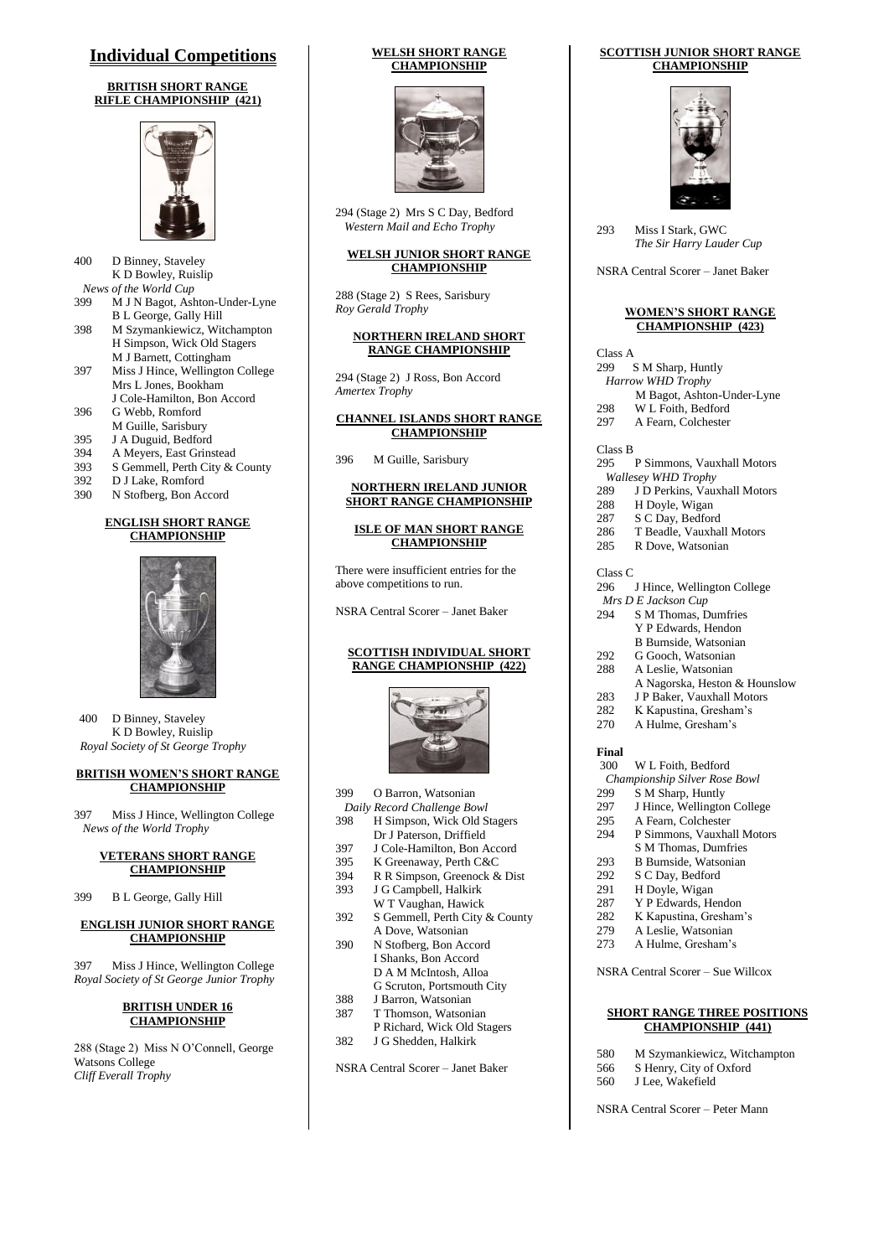### **Individual Competitions**

#### **BRITISH SHORT RANGE RIFLE CHAMPIONSHIP (421)**



- 400 D Binney, Staveley K D Bowley, Ruislip *News of the World Cup* 399 M J N Bagot, Ashton-Under-Lyne B L George, Gally Hill
- 398 M Szymankiewicz, Witchampton H Simpson, Wick Old Stagers M J Barnett, Cottingham
- 397 Miss J Hince, Wellington College Mrs L Jones, Bookham J Cole-Hamilton, Bon Accord
- 396 G Webb, Romford M Guille, Sarisbury
- 
- 395 J A Duguid, Bedford<br>394 A Mevers. East Grins A Meyers, East Grinstead
- 
- 393 S Gemmell, Perth City & County<br>392 D J Lake. Romford D J Lake, Romford
- 390 N Stofberg, Bon Accord

#### **ENGLISH SHORT RANGE CHAMPIONSHIP**



400 D Binney, Staveley K D Bowley, Ruislip *Royal Society of St George Trophy*

#### **BRITISH WOMEN'S SHORT RANGE CHAMPIONSHIP**

397 Miss J Hince, Wellington College *News of the World Trophy*

#### **VETERANS SHORT RANGE CHAMPIONSHIP**

399 B L George, Gally Hill

#### **ENGLISH JUNIOR SHORT RANGE CHAMPIONSHIP**

397 Miss J Hince, Wellington College *Royal Society of St George Junior Trophy*

#### **BRITISH UNDER 16 CHAMPIONSHIP**

288 (Stage 2) Miss N O'Connell, George Watsons College *Cliff Everall Trophy*

#### **WELSH SHORT RANGE CHAMPIONSHIP**



294 (Stage 2) Mrs S C Day, Bedford  *Western Mail and Echo Trophy*

#### **WELSH JUNIOR SHORT RANGE CHAMPIONSHIP**

288 (Stage 2) S Rees, Sarisbury *Roy Gerald Trophy*

#### **NORTHERN IRELAND SHORT RANGE CHAMPIONSHIP**

294 (Stage 2) J Ross, Bon Accord *Amertex Trophy*

#### **CHANNEL ISLANDS SHORT RANGE CHAMPIONSHIP**

396 M Guille, Sarisbury

#### **NORTHERN IRELAND JUNIOR SHORT RANGE CHAMPIONSHIP**

**ISLE OF MAN SHORT RANGE CHAMPIONSHIP**

There were insufficient entries for the above competitions to run.

NSRA Central Scorer – Janet Baker

#### **SCOTTISH INDIVIDUAL SHORT RANGE CHAMPIONSHIP (422)**



- 399 O Barron, Watsonian
- *Daily Record Challenge Bowl* 398 H Simpson, Wick Old Stagers
- Dr J Paterson, Driffield
- 397 J Cole-Hamilton, Bon Accord
- 395 K Greenaway, Perth C&C<br>394 R R Simpson, Greenock &
- R R Simpson, Greenock & Dist
- 393 J G Campbell, Halkirk W T Vaughan, Hawick
- 392 S Gemmell, Perth City & County A Dove, Watsonian
- 390 N Stofberg, Bon Accord I Shanks, Bon Accord D A M McIntosh, Alloa G Scruton, Portsmouth City
- 388 J Barron, Watsonian
- 387 T Thomson, Watsonian
- P Richard, Wick Old Stagers 382 J G Shedden, Halkirk

NSRA Central Scorer – Janet Baker

#### **SCOTTISH JUNIOR SHORT RANGE CHAMPIONSHIP**



293 Miss I Stark, GWC *The Sir Harry Lauder Cup*

NSRA Central Scorer – Janet Baker

#### **WOMEN'S SHORT RANGE CHAMPIONSHIP (423)**

Class A

- 299 S M Sharp, Huntly
- *Harrow WHD Trophy*
- M Bagot, Ashton-Under-Lyne
- 298 W L Foith, Bedford 297 A Fearn, Colchester

Class B

- 295 P Simmons, Vauxhall Motors
- *Wallesey WHD Trophy*
- 289 J D Perkins, Vauxhall Motors<br>288 H Dovle, Wigan H Doyle, Wigan
- 
- 287 S C Day, Bedford
- 286 T Beadle, Vauxhall Motors<br>285 R Dove Watsonian R Dove, Watsonian
- Class C
- 296 J Hince, Wellington College
- *Mrs D E Jackson Cup*
- 294 S M Thomas, Dumfries Y P Edwards, Hendon
- B Burnside, Watsonian 292 G Gooch, Watsonian
- 288 A Leslie, Watsonian
- A Nagorska, Heston & Hounslow
- 283 J P Baker, Vauxhall Motors
- 282 K Kapustina, Gresham's<br>270 A Hulme, Gresham's
- A Hulme, Gresham's

#### **Final**

- 300 W L Foith, Bedford
- *Championship Silver Rose Bowl* S M Sharp, Huntly
- 
- 297 J Hince, Wellington College
- 295 A Fearn, Colchester
- 294 P Simmons, Vauxhall Motors S M Thomas, Dumfries
- 
- 293 B Burnside, Watsonian
- 292 S C Day, Bedford<br>291 H Doyle, Wigan
- H Doyle, Wigan
- 287 Y P Edwards, Hendon
- 282 K Kapustina, Gresham's
- 279 A Leslie, Watsonian<br>273 A Hulme, Gresham's A Hulme, Gresham's
- 

NSRA Central Scorer – Sue Willcox

#### **SHORT RANGE THREE POSITIONS CHAMPIONSHIP (441)**

- 580 M Szymankiewicz, Witchampton
- 566 S Henry, City of Oxford
- 560 J Lee, Wakefield

NSRA Central Scorer – Peter Mann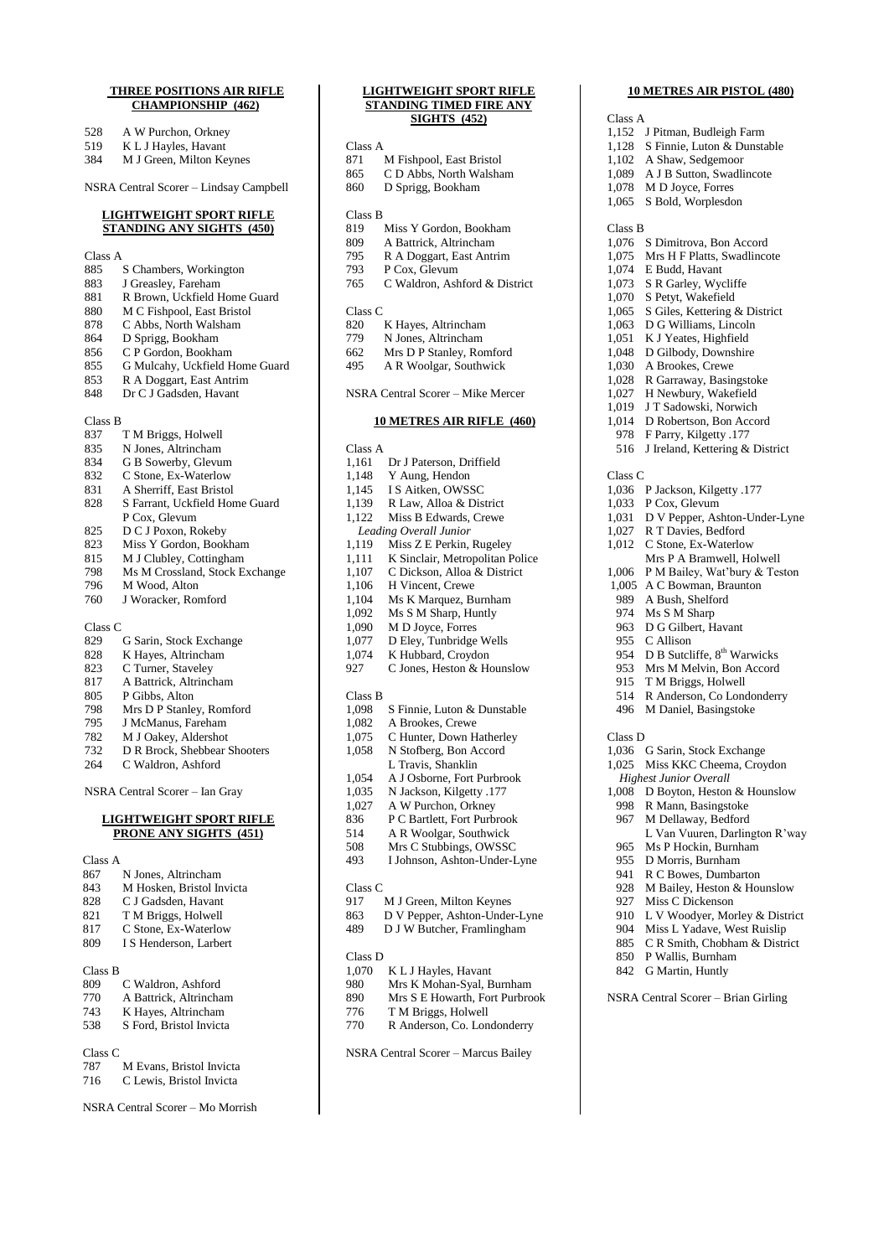#### **THREE POSITIONS AIR RIFLE CHAMPIONSHIP (462)**

- 
- 528 A W Purchon, Orkney<br>519 K L J Hayles, Havant 519 K L J Hayles, Havant<br>384 M J Green, Milton Ke
- M J Green, Milton Keynes

NSRA Central Scorer – Lindsay Campbell

#### **LIGHTWEIGHT SPORT RIFLE STANDING ANY SIGHTS (450)**

- Class A
- 885 S Chambers, Workington
- 
- 883 J Greasley, Fareham<br>881 R Brown, Uckfield H 881 R Brown, Uckfield Home Guard<br>880 M C Fishpool. East Bristol
- M C Fishpool, East Bristol
- 878 C Abbs, North Walsham<br>864 D Sprigg, Bookham
- 
- 864 D Sprigg, Bookham<br>856 C P Gordon, Bookha 856 C P Gordon, Bookham<br>855 G Mulcahy, Uckfield H
- 855 G Mulcahy, Uckfield Home Guard
- 853 R A Doggart, East Antrim<br>848 Dr C J Gadsden, Havant
- Dr C J Gadsden, Havant

| Class B |                                |
|---------|--------------------------------|
| 837     | T M Briggs, Holwell            |
| 835     | N Jones, Altrincham            |
| 834     | G B Sowerby, Glevum            |
| 832     | C Stone, Ex-Waterlow           |
| 831     | A Sherriff, East Bristol       |
| 828     | S Farrant, Uckfield Home Guard |
|         | P Cox, Glevum                  |
| 825     | D C J Poxon, Rokeby            |
| 823     | Miss Y Gordon, Bookham         |
| 815     | M J Clubley, Cottingham        |
| 798     | Ms M Crossland, Stock Exchange |
| 796     | M Wood, Alton                  |
| 760     | J Woracker, Romford            |
| Class C |                                |
| 829     | G Sarin, Stock Exchange        |

| رےن | O Barni, Block Exchange      |
|-----|------------------------------|
| 828 | K Hayes, Altrincham          |
| 823 | C Turner, Staveley           |
| 817 | A Battrick, Altrincham       |
| 805 | P Gibbs, Alton               |
| 798 | Mrs D P Stanley, Romford     |
| 795 | J McManus, Fareham           |
| 782 | M J Oakey, Aldershot         |
| 732 | D R Brock, Shebbear Shooters |
| 264 | C Waldron, Ashford           |
|     |                              |

NSRA Central Scorer – Ian Gray

#### **LIGHTWEIGHT SPORT RIFLE PRONE ANY SIGHTS (451)**

#### Class A

| 867     | N Jones, Altrincham       |
|---------|---------------------------|
| 843     | M Hosken, Bristol Invicta |
| 828     | C J Gadsden, Havant       |
| 821     | T M Briggs, Holwell       |
| 817     | C Stone, Ex-Waterlow      |
| 809     | I S Henderson, Larbert    |
|         |                           |
| Class B |                           |
| 809     | C Waldron, Ashford        |
| 770     | A Battrick, Altrincham    |
| 743     | K Hayes, Altrincham       |
| 538     | S Ford. Bristol Invicta   |
|         |                           |
| Class C |                           |
| 787     | M Evans, Bristol Invicta  |
| 716     | C Lewis, Bristol Invicta  |

NSRA Central Scorer – Mo Morrish

## **LIGHTWEIGHT SPORT RIFLE STANDING TIMED FIRE ANY**

| <b>STANDING TIMED FIRE ANY</b> |                                   |  |  |
|--------------------------------|-----------------------------------|--|--|
|                                | <b>SIGHTS (452)</b>               |  |  |
| Class A                        |                                   |  |  |
| 871                            | M Fishpool, East Bristol          |  |  |
| 865                            | C D Abbs, North Walsham           |  |  |
| 860                            | D Sprigg, Bookham                 |  |  |
|                                |                                   |  |  |
| Class B                        |                                   |  |  |
| 819                            | Miss Y Gordon, Bookham            |  |  |
| 809                            | A Battrick, Altrincham            |  |  |
| 795                            | R A Doggart, East Antrim          |  |  |
| 793                            | P Cox, Glevum                     |  |  |
| 765                            | C Waldron, Ashford & District     |  |  |
| Class C                        |                                   |  |  |
| 820                            | K Hayes, Altrincham               |  |  |
| 779                            | N Jones, Altrincham               |  |  |
| 662                            | Mrs D P Stanley, Romford          |  |  |
| 495                            | A R Woolgar, Southwick            |  |  |
|                                |                                   |  |  |
|                                | NSRA Central Scorer - Mike Mercer |  |  |
|                                | <b>10 METRES AIR RIFLE (460)</b>  |  |  |
|                                |                                   |  |  |
| Class A<br>1,161               | Dr J Paterson, Driffield          |  |  |
| 1,148                          | Y Aung, Hendon                    |  |  |
| 1,145                          | IS Aitken, OWSSC                  |  |  |
| 1,139                          | R Law, Alloa & District           |  |  |
| 1,122                          | Miss B Edwards, Crewe             |  |  |
|                                | Leading Overall Junior            |  |  |
| 1,119                          | Miss Z E Perkin, Rugeley          |  |  |
| 1,111                          | K Sinclair, Metropolitan Police   |  |  |
| 1,107                          | C Dickson, Alloa & District       |  |  |
| 1,106                          | H Vincent, Crewe                  |  |  |
| 1,104                          | Ms K Marquez, Burnham             |  |  |
| 1,092                          | Ms S M Sharp, Huntly              |  |  |
| 1,090                          | M D Joyce, Forres                 |  |  |
| 1,077                          | D Eley, Tunbridge Wells           |  |  |
| 1,074                          | K Hubbard, Croydon                |  |  |
| 927                            | C Jones, Heston & Hounslow        |  |  |
|                                |                                   |  |  |
| Class B                        |                                   |  |  |
| 1,098                          | S Finnie, Luton & Dunstable       |  |  |
| 1,082                          | A Brookes, Crewe                  |  |  |
| 1,075                          | C Hunter, Down Hatherley          |  |  |
| 1,058                          | N Stofberg, Bon Accord            |  |  |
|                                | L Travis, Shanklin                |  |  |
| 1,054                          | A J Osborne, Fort Purbrook        |  |  |
| 1,035                          | N Jackson, Kilgetty .177          |  |  |
| 1,027                          | A W Purchon, Orkney               |  |  |
| 836                            | P C Bartlett, Fort Purbrook       |  |  |
| 514                            | A R Woolgar, Southwick            |  |  |
| 508<br>493                     | Mrs C Stubbings, OWSSC            |  |  |
|                                | I Johnson, Ashton-Under-Lyne      |  |  |
| Class C                        |                                   |  |  |
| 917                            | M J Green, Milton Keynes          |  |  |
| 863                            | D V Pepper, Ashton-Under-Lyne     |  |  |
| 489                            | D J W Butcher, Framlingham        |  |  |
|                                |                                   |  |  |

#### Class D

| 1,070 | K L J Hayles, Havant |  |
|-------|----------------------|--|
|-------|----------------------|--|

- 980 Mrs K Mohan-Syal, Burnham<br>890 Mrs S E Howarth, Fort Purbro
- Mrs S E Howarth, Fort Purbrook
- 776 T M Briggs, Holwell
- 770 R Anderson, Co. Londonderry

NSRA Central Scorer – Marcus Bailey

### Class A 1,152 J Pitman, Budleigh Farm

**10 METRES AIR PISTOL (480)**

| .,      | r niman, Duareign r ann                 |
|---------|-----------------------------------------|
| 1,128   | S Finnie, Luton & Dunstable             |
| 1,102   | A Shaw, Sedgemoor                       |
| 1,089   | A J B Sutton, Swadlincote               |
|         |                                         |
| 1,078   | M D Joyce, Forres                       |
| 1,065   | S Bold, Worplesdon                      |
|         |                                         |
| Class B |                                         |
| 1,076   | S Dimitrova, Bon Accord                 |
|         | Mrs H F Platts, Swadlincote             |
| 1,075   |                                         |
| 1,074   | E Budd, Havant                          |
| 1,073   | S R Garley, Wycliffe                    |
| 1,070   | S Petyt, Wakefield                      |
| 1,065   | S Giles, Kettering & District           |
| 1,063   |                                         |
|         | D G Williams, Lincoln                   |
| 1,051   | K J Yeates, Highfield                   |
| 1,048   | D Gilbody, Downshire                    |
| 1,030   | A Brookes, Crewe                        |
| 1,028   | R Garraway, Basingstoke                 |
|         |                                         |
| 1,027   | H Newbury, Wakefield                    |
| 1,019   | J T Sadowski, Norwich                   |
| 1,014   | D Robertson, Bon Accord                 |
| 978     | F Parry, Kilgetty .177                  |
| 516     | J Ireland, Kettering & District         |
|         |                                         |
|         |                                         |
| Class C |                                         |
| 1,036   | P Jackson, Kilgetty .177                |
| 1,033   | P Cox, Glevum                           |
| 1,031   | D V Pepper, Ashton-Under-Lyne           |
|         | R T Davies, Bedford                     |
| 1,027   |                                         |
| 1,012   | C Stone, Ex-Waterlow                    |
|         | Mrs P A Bramwell, Holwell               |
| 1,006   | P M Bailey, Wat'bury & Teston           |
| 1,005   | A C Bowman, Braunton                    |
| 989     | A Bush, Shelford                        |
|         |                                         |
| 974     | Ms S M Sharp                            |
| 963     | D G Gilbert, Havant                     |
| 955     | C Allison                               |
| 954     | D B Sutcliffe, 8 <sup>th</sup> Warwicks |
| 953     | Mrs M Melvin, Bon Accord                |
|         |                                         |
| 915     | T M Briggs, Holwell                     |
| 514     | R Anderson, Co Londonderry              |
| 496     | M Daniel, Basingstoke                   |
|         |                                         |
| Class D |                                         |
|         |                                         |
|         | 1,036 G Sarin, Stock Exchange           |
| 1,025   | Miss KKC Cheema, Croydon                |
|         | <b>Highest Junior Overall</b>           |
| 1,008   | D Boyton, Heston & Hounslow             |
| 998     | R Mann, Basingstoke                     |
| 967     | M Dellaway, Bedford                     |
|         |                                         |
|         | L Van Vuuren, Darlington R'way          |
| 965     | Ms P Hockin, Burnham                    |
| 955     | D Morris, Burnham                       |
| 941     | R C Bowes, Dumbarton                    |
| 928     | M Bailey, Heston & Hounslow             |
| 927     | Miss C Dickenson                        |
|         |                                         |
| 910     | L V Woodyer, Morley & District          |
| 904     | Miss L Yadave, West Ruislip             |
| 885     | C R Smith, Chobham & District           |
| 850     | P Wallis, Burnham                       |
| 842     | G Martin, Huntly                        |
|         |                                         |
|         |                                         |
|         | NSRA Central Scorer - Brian Girling     |
|         |                                         |
|         |                                         |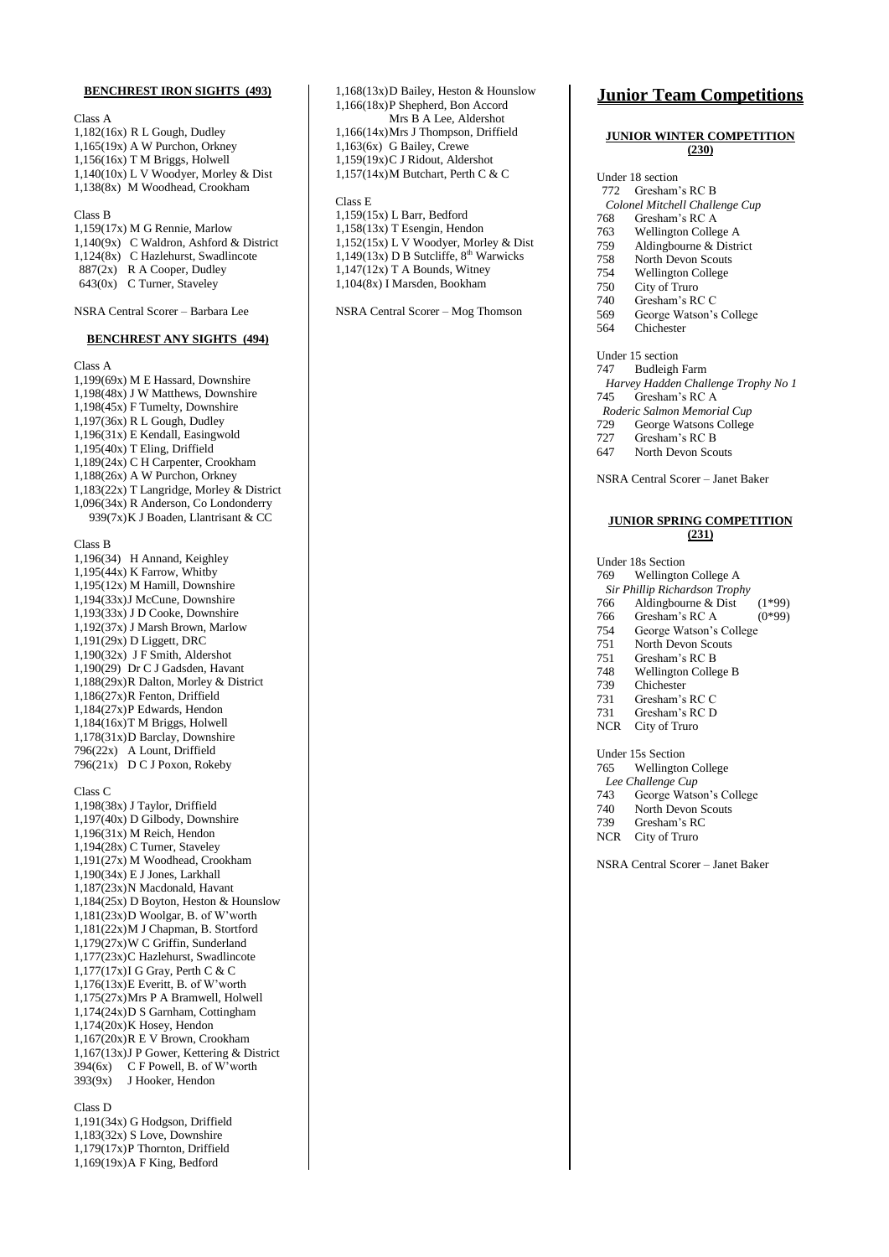#### **BENCHREST IRON SIGHTS (493)**

Class A 1,182(16x) R L Gough, Dudley 1,165(19x) A W Purchon, Orkney 1,156(16x) T M Briggs, Holwell 1,140(10x) L V Woodyer, Morley & Dist 1,138(8x) M Woodhead, Crookham

#### Class B

1,159(17x) M G Rennie, Marlow 1,140(9x) C Waldron, Ashford & District 1,124(8x) C Hazlehurst, Swadlincote 887(2x) R A Cooper, Dudley 643(0x) C Turner, Staveley

NSRA Central Scorer – Barbara Lee

#### **BENCHREST ANY SIGHTS (494)**

Class A

1,199(69x) M E Hassard, Downshire 1,198(48x) J W Matthews, Downshire 1,198(45x) F Tumelty, Downshire 1,197(36x) R L Gough, Dudley 1,196(31x) E Kendall, Easingwold  $1,195(40x)$  T Eling, Driffield 1,189(24x) C H Carpenter, Crookham 1,188(26x) A W Purchon, Orkney 1,183(22x) T Langridge, Morley & District 1,096(34x) R Anderson, Co Londonderry 939(7x)K J Boaden, Llantrisant & CC Class B 1,196(34) H Annand, Keighley

1,195(44x) K Farrow, Whitby 1,195(12x) M Hamill, Downshire 1,194(33x)J McCune, Downshire 1,193(33x) J D Cooke, Downshire 1,192(37x) J Marsh Brown, Marlow 1,191(29x) D Liggett, DRC 1,190(32x) J F Smith, Aldershot 1,190(29) Dr C J Gadsden, Havant 1,188(29x)R Dalton, Morley & District 1,186(27x)R Fenton, Driffield 1,184(27x)P Edwards, Hendon 1,184(16x)T M Briggs, Holwell 1,178(31x)D Barclay, Downshire 796(22x) A Lount, Driffield 796(21x) D C J Poxon, Rokeby

Class C

1,198(38x) J Taylor, Driffield 1,197(40x) D Gilbody, Downshire 1,196(31x) M Reich, Hendon 1,194(28x) C Turner, Staveley 1,191(27x) M Woodhead, Crookham 1,190(34x) E J Jones, Larkhall 1,187(23x)N Macdonald, Havant 1,184(25x) D Boyton, Heston & Hounslow 1,181(23x)D Woolgar, B. of W'worth 1,181(22x)M J Chapman, B. Stortford 1,179(27x)W C Griffin, Sunderland 1,177(23x)C Hazlehurst, Swadlincote 1,177(17x)I G Gray, Perth C & C 1,176(13x)E Everitt, B. of W'worth 1,175(27x)Mrs P A Bramwell, Holwell 1,174(24x)D S Garnham, Cottingham 1,174(20x)K Hosey, Hendon 1,167(20x)R E V Brown, Crookham 1,167(13x)J P Gower, Kettering & District 394(6x) C F Powell, B. of W'worth 393(9x) J Hooker, Hendon

Class D

1,191(34x) G Hodgson, Driffield 1,183(32x) S Love, Downshire 1,179(17x)P Thornton, Driffield 1,169(19x)A F King, Bedford

1,168(13x)D Bailey, Heston & Hounslow 1,166(18x)P Shepherd, Bon Accord Mrs B A Lee, Aldershot 1,166(14x)Mrs J Thompson, Driffield 1,163(6x) G Bailey, Crewe 1,159(19x)C J Ridout, Aldershot 1,157(14x)M Butchart, Perth C & C

#### Class E

1,159(15x) L Barr, Bedford 1,158(13x) T Esengin, Hendon 1,152(15x) L V Woodyer, Morley & Dist  $1.149(13x)$  D B Sutcliffe,  $8<sup>th</sup>$  Warwicks  $1,147(12x)$  T A Bounds, Witney 1,104(8x) I Marsden, Bookham

NSRA Central Scorer – Mog Thomson

### **Junior Team Competitions**

#### **JUNIOR WINTER COMPETITION (230)**

#### Under 18 section 772 Gresham's RC B *Colonel Mitchell Challenge Cup* 768 Gresham's RC A<br>763 Wellington Colley

- Wellington College A
- 759 Aldingbourne & District
- 758 North Devon Scouts<br>754 Wellington College Wellington College
- 
- 750 City of Truro<br>740 Gresham's RC Gresham's RC C
- 569 George Watson's College
- 564 Chichester
- Under 15 section
- 747 Budleigh Farm
- *Harvey Hadden Challenge Trophy No 1* 745 Gresham's RC A
- *Roderic Salmon Memorial Cup*
- 729 George Watsons College
- 727 Gresham's RC B<br>647 North Devon Sco
- North Devon Scouts

NSRA Central Scorer – Janet Baker

#### **JUNIOR SPRING COMPETITION (231)**

Under 18s Section 769 Wellington College A

- 
- *Sir Phillip Richardson Trophy*
- 766 Aldingbourne & Dist (1\*99)<br>766 Gresham's RC A (0\*99) Gresham's RC A
- 
- 754 George Watson's College
- North Devon Scouts
- 751 Gresham's RC B 748 Wellington College B
- 
- 739 Chichester<br>731 Gresham's
- 731 Gresham's RC C<br>731 Gresham's RC D
- Gresham's RC D
- NCR City of Truro

#### Under 15s Section

765 Wellington College

- *Lee Challenge Cup*<br>743 George Watso
- 743 George Watson's College
- 740 North Devon Scouts<br>739 Gresham's RC
- Gresham's RC
- NCR City of Truro

NSRA Central Scorer – Janet Baker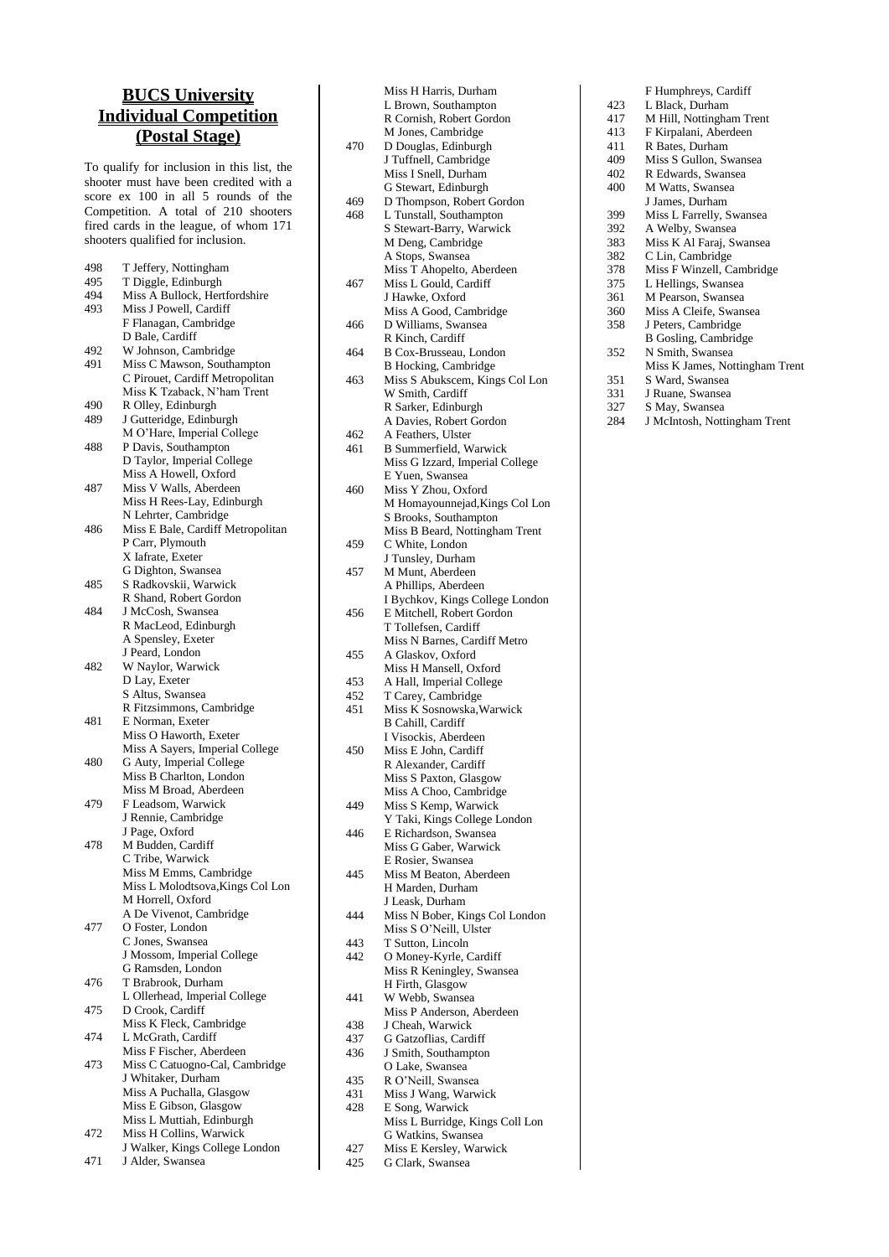## **BUCS University Individual Competition (Postal Stage)**

To qualify for inclusion in this list, the shooter must have been credited with a score ex 100 in all 5 rounds of the Competition. A total of 210 shooters fired cards in the league, of whom 171 shooters qualified for inclusion .

| 498 | T Jeffery, Nottingham             |
|-----|-----------------------------------|
| 495 | T Diggle, Edinburgh               |
| 494 | Miss A Bullock, Hertfordshire     |
| 493 | Miss J Powell, Cardiff            |
|     | F Flanagan, Cambridge             |
|     | D Bale, Cardiff                   |
| 492 | W Johnson, Cambridge              |
| 491 | Miss C Mawson, Southampton        |
|     | C Pirouet, Cardiff Metropolitan   |
|     | Miss K Tzaback, N'ham Trent       |
|     |                                   |
| 490 | R Olley, Edinburgh                |
| 489 | J Gutteridge, Edinburgh           |
|     | M O'Hare, Imperial College        |
| 488 | P Davis, Southampton              |
|     | D Taylor, Imperial College        |
|     | Miss A Howell, Oxford             |
| 487 | Miss V Walls, Aberdeen            |
|     | Miss H Rees-Lay, Edinburgh        |
|     | N Lehrter, Cambridge              |
| 486 | Miss E Bale, Cardiff Metropolitan |
|     | P Carr, Plymouth                  |
|     | X Iafrate, Exeter                 |
|     | G Dighton, Swansea                |
| 485 | S Radkovskii, Warwick             |
|     | R Shand, Robert Gordon            |
| 484 | J McCosh, Swansea                 |
|     | R MacLeod, Edinburgh              |
|     | A Spensley, Exeter                |
|     | J Peard, London                   |
| 482 | W Naylor, Warwick                 |
|     | D Lay, Exeter                     |
|     | S Altus, Swansea                  |
|     | R Fitzsimmons, Cambridge          |
| 481 | E Norman, Exeter                  |
|     | Miss O Haworth, Exeter            |
|     | Miss A Sayers, Imperial College   |
| 480 | G Auty, Imperial College          |
|     | Miss B Charlton, London           |
|     | Miss M Broad, Aberdeen            |
| 479 | F Leadsom, Warwick                |
|     | J Rennie, Cambridge               |
|     | J Page, Oxford                    |
| 478 | M Budden, Cardiff                 |
|     | C Tribe, Warwick                  |
|     | Miss M Emms, Cambridge            |
|     | Miss L Molodtsova, Kings Col Lon  |
|     | M Horrell, Oxford                 |
|     | A De Vivenot, Cambridge           |
| 477 | O Foster, London                  |
|     | C Jones, Swansea                  |
|     | J Mossom, Imperial College        |
|     | G Ramsden, London                 |
| 476 | T Brabrook, Durham                |
|     | L Ollerhead, Imperial College     |
| 475 | D Crook, Cardiff                  |
|     | Miss K Fleck, Cambridge           |
| 474 | L McGrath, Cardiff                |
|     | Miss F Fischer, Aberdeen          |
| 473 | Miss C Catuogno-Cal, Cambridge    |
|     | J Whitaker, Durham                |
|     | Miss A Puchalla, Glasgow          |
|     | Miss E Gibson, Glasgow            |
|     | Miss L Muttiah, Edinburgh         |
| 472 | Miss H Collins, Warwick           |

J Walker, Kings College London 471 J Alder, Swansea

|            | Miss H Harris, Durham                               |
|------------|-----------------------------------------------------|
|            | L Brown, Southampton                                |
|            | R Cornish, Robert Gordon                            |
| 470        | M Jones, Cambridge                                  |
|            | D Douglas, Edinburgh<br>J Tuffnell, Cambridge       |
|            | Miss I Snell, Durham                                |
|            | G Stewart, Edinburgh                                |
| 469        | D Thompson, Robert Gordon                           |
| 468        | L Tunstall, Southampton                             |
|            | S Stewart-Barry, Warwick                            |
|            | M Deng, Cambridge<br>A Stops, Swansea               |
|            | Miss T Ahopelto, Aberdeen                           |
| 467        | Miss L Gould, Cardiff                               |
|            | J Hawke, Oxford                                     |
|            | Miss A Good, Cambridge                              |
| 466        | D Williams, Swansea                                 |
| 464        | R Kinch, Cardiff<br>B Cox-Brusseau, London          |
|            | <b>B</b> Hocking, Cambridge                         |
| 463        | Miss S Abukscem, Kings Col Lon                      |
|            | W Smith, Cardiff                                    |
|            | R Sarker, Edinburgh                                 |
|            | A Davies, Robert Gordon                             |
| 462<br>461 | A Feathers, Ulster<br><b>B</b> Summerfield, Warwick |
|            | Miss G Izzard, Imperial College                     |
|            | E Yuen, Swansea                                     |
| 460        | Miss Y Zhou, Oxford                                 |
|            | M Homayounnejad, Kings Col Lon                      |
|            | S Brooks, Southampton                               |
|            | Miss B Beard, Nottingham Trent                      |
| 459        | C White, London                                     |
| 457        | J Tunsley, Durham<br>M Munt, Aberdeen               |
|            | A Phillips, Aberdeen                                |
|            | I Bychkov, Kings College London                     |
| 456        | E Mitchell, Robert Gordon                           |
|            | T Tollefsen, Cardiff                                |
|            | Miss N Barnes, Cardiff Metro                        |
| 455        | A Glaskov, Oxford                                   |
|            | Miss H Mansell, Oxford                              |
| 453<br>452 | A Hall, Imperial College<br>T Carey, Cambridge      |
| 451        | Miss K Sosnowska, Warwick                           |
|            | <b>B Cahill, Cardiff</b>                            |
|            | I Visockis, Aberdeen                                |
| 450        | Miss E John, Cardiff                                |
|            | R Alexander, Cardiff                                |
|            | Miss S Paxton, Glasgow<br>Miss A Choo, Cambridge    |
| 449        | Miss S Kemp, Warwick                                |
|            | Y Taki, Kings College London                        |
| 446        | E Richardson, Swansea                               |
|            | Miss G Gaber, Warwick                               |
|            | E Rosier, Swansea                                   |
| 445        | Miss M Beaton, Aberdeen<br>H Marden, Durham         |
|            | J Leask, Durham                                     |
| 444        | Miss N Bober, Kings Col London                      |
|            | Miss S O'Neill, Ulster                              |
| 443        | T Sutton, Lincoln                                   |
| 442        | O Money-Kyrle, Cardiff                              |
|            | Miss R Keningley, Swansea                           |
| 441        | H Firth, Glasgow<br>W Webb, Swansea                 |
|            | Miss P Anderson, Aberdeen                           |
| 438        | J Cheah, Warwick                                    |
| 437        | G Gatzoflias, Cardiff                               |
| 436        | J Smith, Southampton                                |
|            | O Lake, Swansea                                     |
| 435        | R O'Neill, Swansea                                  |
| 431<br>428 | Miss J Wang, Warwick<br>E Song, Warwick             |
|            | Miss L Burridge, Kings Coll Lon                     |
|            | G Watkins, Swansea                                  |
| 427        |                                                     |
|            | Miss E Kersley, Warwick<br>G Clark, Swansea         |

|     | F Humphreys, Cardiff           |
|-----|--------------------------------|
| 423 | L Black, Durham                |
| 417 | M Hill, Nottingham Trent       |
| 413 | F Kirpalani, Aberdeen          |
| 411 | R Bates, Durham                |
| 409 | Miss S Gullon, Swansea         |
| 402 | R Edwards, Swansea             |
| 400 | M Watts, Swansea               |
|     | J James, Durham                |
| 399 | Miss L Farrelly, Swansea       |
| 392 | A Welby, Swansea               |
| 383 | Miss K Al Faraj, Swansea       |
| 382 | C Lin, Cambridge               |
| 378 | Miss F Winzell, Cambridge      |
| 375 | L Hellings, Swansea            |
| 361 | M Pearson, Swansea             |
| 360 | Miss A Cleife, Swansea         |
| 358 | J Peters, Cambridge            |
|     | B Gosling, Cambridge           |
| 352 | N Smith, Swansea               |
|     | Miss K James, Nottingham Trent |
| 351 | S Ward, Swansea                |
| 331 | J Ruane, Swansea               |
| 327 | S May, Swansea                 |
| 284 | J McIntosh, Nottingham Trent   |
|     |                                |
|     |                                |
|     |                                |
|     |                                |
|     |                                |
|     |                                |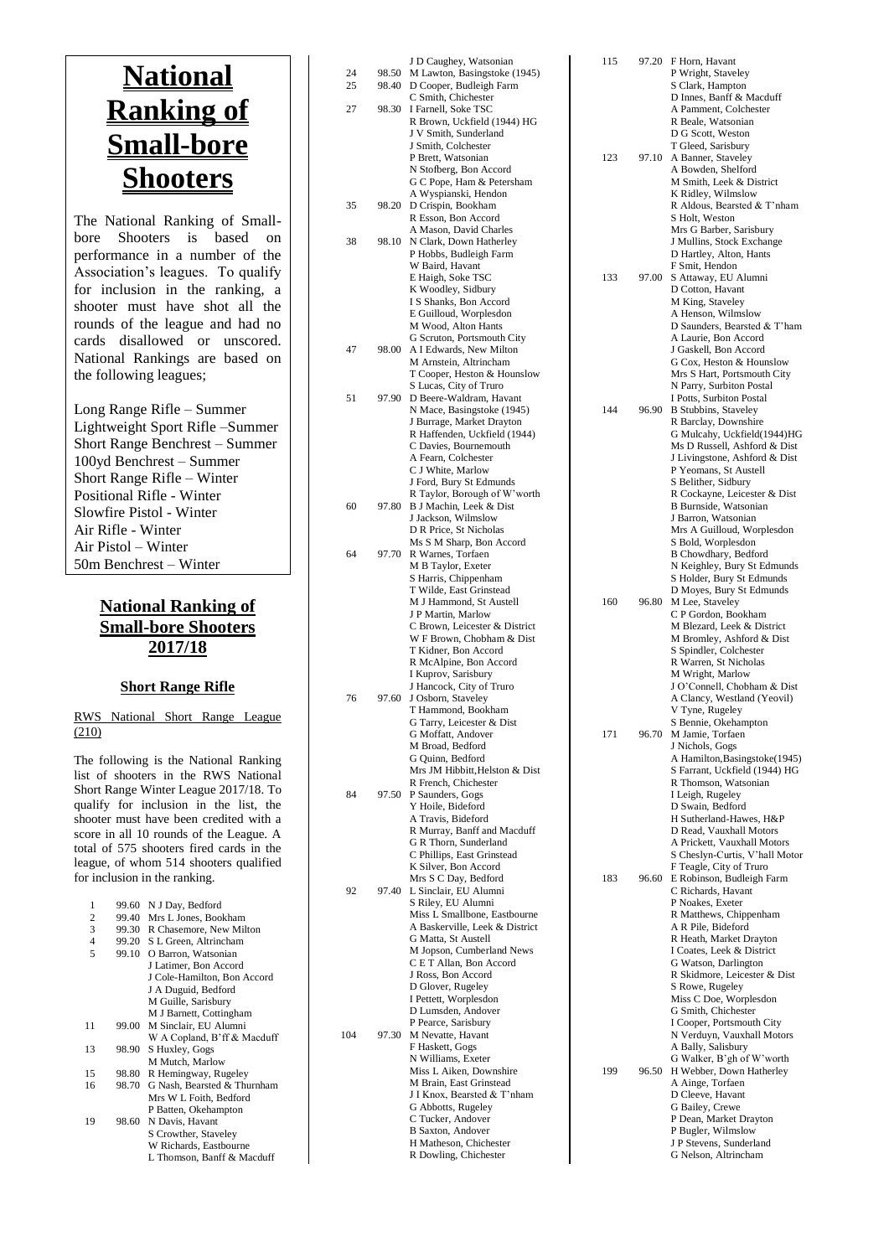# **National Ranking of Small -bore Shooters**

The National Ranking of Small bore Shooters is based on performance in a number of the Association's leagues. To qualify for inclusion in the ranking, a shooter must have shot all the rounds of the league and had no cards disallowed or unscored. National Rankings are based on the following leagues;

Long Range Rifle – Summer Lightweight Sport Rifle –Summer Short Range Benchrest – Summer 100yd Benchrest – Summer Short Range Rifle – Winter Positional Rifle - Winter Slowfire Pistol - Winter Air Rifle - Winter Air Pistol – Winter 50m Benchrest – Winter

### **National Ranking of Small -bore Shooters 2017/1 8**

### **Short Range Rifle**

RWS National Short Range League (210)

The following is the National Ranking list of shooters in the RWS National Short Range Winter League 2017/18 . To qualify for inclusion in the list, the shooter must have been credited with a score in all 10 rounds of the League. A total of 575 shooters fired cards in the league, of who m 514 shooters qualified for inclusion in the ranking.

| 1              | 99.60 | N J Day, Bedford            |
|----------------|-------|-----------------------------|
| 2              | 99.40 | Mrs L Jones, Bookham        |
| 3              | 99.30 | R Chasemore, New Milton     |
| $\overline{4}$ | 99.20 | S L Green, Altrincham       |
| 5              | 99.10 | O Barron, Watsonian         |
|                |       | J Latimer, Bon Accord       |
|                |       | J Cole-Hamilton, Bon Accord |
|                |       | J A Duguid, Bedford         |
|                |       | M Guille, Sarisbury         |
|                |       | M J Barnett, Cottingham     |
| 11             | 99.00 | M Sinclair, EU Alumni       |
|                |       | W A Copland, B'ff & Macduff |
| 13             | 98.90 | S Huxley, Gogs              |
|                |       | M Mutch, Marlow             |
| 15             | 98.80 | R Hemingway, Rugeley        |
| 16             | 98.70 | G Nash, Bearsted & Thurnham |
|                |       | Mrs W L Foith, Bedford      |
|                |       | P Batten, Okehampton        |
| 19             | 98.60 | N Davis, Havant             |
|                |       | S Crowther, Staveley        |
|                |       | W Richards, Eastbourne      |
|                |       | L Thomson, Banff & Macduff  |

| 24  |       | J D Caughey, Watsonian                                     |  |
|-----|-------|------------------------------------------------------------|--|
|     | 98.50 | M Lawton, Basingstoke (1945)                               |  |
| 25  | 98.40 | D Cooper, Budleigh Farm                                    |  |
| 27  | 98.30 | C Smith, Chichester<br>I Farnell, Soke TSC                 |  |
|     |       | R Brown, Uckfield (1944) HG                                |  |
|     |       | J V Smith, Sunderland                                      |  |
|     |       | J Smith, Colchester                                        |  |
|     |       | P Brett, Watsonian                                         |  |
|     |       | N Stofberg, Bon Accord<br>G C Pope, Ham & Petersham        |  |
|     |       | A Wyspianski, Hendon                                       |  |
| 35  | 98.20 | D Crispin, Bookham                                         |  |
|     |       | R Esson, Bon Accord                                        |  |
| 38  | 98.10 | A Mason, David Charles<br>N Clark, Down Hatherley          |  |
|     |       | P Hobbs, Budleigh Farm                                     |  |
|     |       | W Baird, Havant                                            |  |
|     |       | E Haigh, Soke TSC                                          |  |
|     |       | K Woodley, Sidbury<br>I S Shanks, Bon Accord               |  |
|     |       | E Guilloud, Worplesdon                                     |  |
|     |       | M Wood, Alton Hants                                        |  |
|     |       | G Scruton, Portsmouth City                                 |  |
| 47  | 98.00 | A I Edwards, New Milton<br>M Arnstein, Altrincham          |  |
|     |       | T Cooper, Heston & Hounslow                                |  |
|     |       | S Lucas, City of Truro                                     |  |
| 51  | 97.90 | D Beere-Waldram, Havant                                    |  |
|     |       | N Mace, Basingstoke (1945)<br>J Burrage, Market Drayton    |  |
|     |       | R Haffenden, Uckfield (1944)                               |  |
|     |       | C Davies, Bournemouth                                      |  |
|     |       | A Fearn, Colchester<br>C J White, Marlow                   |  |
|     |       | J Ford, Bury St Edmunds                                    |  |
|     |       | R Taylor, Borough of W'worth                               |  |
| 60  | 97.80 | B J Machin, Leek & Dist                                    |  |
|     |       | J Jackson, Wilmslow<br>D R Price, St Nicholas              |  |
|     |       | Ms S M Sharp, Bon Accord                                   |  |
| 64  | 97.70 | R Warnes, Torfaen                                          |  |
|     |       | M B Taylor, Exeter<br>S Harris, Chippenham                 |  |
|     |       | T Wilde, East Grinstead                                    |  |
|     |       | M J Hammond, St Austell                                    |  |
|     |       | J P Martin, Marlow                                         |  |
|     |       | C Brown, Leicester & District<br>W F Brown, Chobham & Dist |  |
|     |       | T Kidner, Bon Accord                                       |  |
|     |       | R McAlpine, Bon Accord                                     |  |
|     |       | I Kuprov, Sarisbury<br>J Hancock, City of Truro            |  |
| 76  | 97.60 | J Osborn, Staveley                                         |  |
|     |       | T Hammond, Bookham                                         |  |
|     |       | G Tarry, Leicester & Dist                                  |  |
|     |       |                                                            |  |
|     |       | G Moffatt, Andover                                         |  |
|     |       | M Broad, Bedford<br>G Quinn, Bedford                       |  |
|     |       | Mrs JM Hibbitt, Helston & Dist                             |  |
|     |       | R French, Chichester                                       |  |
| 84  | 97.50 | P Saunders, Gogs<br>Y Hoile, Bideford                      |  |
|     |       | A Travis, Bideford                                         |  |
|     |       | R Murray, Banff and Macduff                                |  |
|     |       | G R Thorn, Sunderland<br>C Phillips, East Grinstead        |  |
|     |       | K Silver, Bon Accord                                       |  |
|     |       | Mrs S C Day, Bedford                                       |  |
| 92  | 97.40 | L Sinclair, EU Alumni                                      |  |
|     |       | S Riley, EU Alumni<br>Miss L Smallbone, Eastbourne         |  |
|     |       | A Baskerville, Leek & District                             |  |
|     |       | G Matta, St Austell                                        |  |
|     |       | M Jopson, Cumberland News<br>C E T Allan, Bon Accord       |  |
|     |       | J Ross, Bon Accord                                         |  |
|     |       | D Glover, Rugeley                                          |  |
|     |       | I Pettett, Worplesdon                                      |  |
|     |       | D Lumsden, Andover<br>P Pearce, Sarisbury                  |  |
| 104 | 97.30 | M Nevatte, Havant                                          |  |
|     |       | F Haskett, Gogs                                            |  |
|     |       | N Williams, Exeter<br>Miss L Aiken, Downshire              |  |
|     |       | M Brain, East Grinstead                                    |  |
|     |       | J I Knox, Bearsted & T'nham                                |  |
|     |       | G Abbotts, Rugeley                                         |  |
|     |       | C Tucker, Andover<br><b>B</b> Saxton, Andover              |  |
|     |       | H Matheson, Chichester<br>R Dowling, Chichester            |  |

| 115 | 97.20 | F Horn, Havant<br>P Wright, Staveley                          |
|-----|-------|---------------------------------------------------------------|
|     |       | S Clark, Hampton<br>D Innes, Banff & Macduff                  |
|     |       | A Pamment, Colchester<br>R Beale, Watsonian                   |
|     |       | D G Scott, Weston<br>T Gleed, Sarisbury                       |
| 123 | 97.10 | A Banner, Staveley<br>A Bowden, Shelford                      |
|     |       | M Smith, Leek & District<br>K Ridley, Wilmslow                |
|     |       | R Aldous, Bearsted & T'nham<br>S Holt, Weston                 |
|     |       | Mrs G Barber, Sarisbury<br>J Mullins, Stock Exchange          |
|     |       | D Hartley, Alton, Hants<br>F Smit, Hendon                     |
| 133 | 97.00 | S Attaway, EU Alumni<br>D Cotton, Havant                      |
|     |       | M King, Staveley<br>A Henson, Wilmslow                        |
|     |       | D Saunders, Bearsted & T'ham<br>A Laurie, Bon Accord          |
|     |       | J Gaskell, Bon Accord<br>G Cox, Heston & Hounslow             |
|     |       | Mrs S Hart, Portsmouth City<br>N Parry, Surbiton Postal       |
| 144 | 96.90 | I Potts, Surbiton Postal<br><b>B</b> Stubbins, Staveley       |
|     |       | R Barclay, Downshire<br>G Mulcahy, Uckfield(1944)HG           |
|     |       | Ms D Russell, Ashford & Dist<br>J Livingstone, Ashford & Dist |
|     |       | P Yeomans, St Austell<br>S Belither, Sidbury                  |
|     |       | R Cockayne, Leicester & Dist<br>B Burnside, Watsonian         |
|     |       | J Barron, Watsonian<br>Mrs A Guilloud, Worplesdon             |
|     |       | S Bold, Worplesdon                                            |
|     |       | B Chowdhary, Bedford<br>N Keighley, Bury St Edmunds           |
| 160 |       | S Holder, Bury St Edmunds<br>D Moyes, Bury St Edmunds         |
|     | 96.80 | M Lee, Staveley<br>C P Gordon, Bookham                        |
|     |       | M Blezard, Leek & District<br>M Bromley, Ashford & Dist       |
|     |       | S Spindler, Colchester<br>R Warren, St Nicholas               |
|     |       | M Wright, Marlow<br>J O'Connell, Chobham & Dist               |
|     |       | A Clancy, Westland (Yeovil)<br>V Tyne, Rugeley                |
| 171 | 96.70 | S Bennie, Okehampton<br>M Jamie, Torfaen                      |
|     |       | J Nichols, Gogs<br>A Hamilton, Basingstoke(1945)              |
|     |       | S Farrant, Uckfield (1944) HG<br>R Thomson, Watsonian         |
|     |       | I Leigh, Rugeley<br>D Swain, Bedford                          |
|     |       | H Sutherland-Hawes, H&P<br>D Read, Vauxhall Motors            |
|     |       | A Prickett, Vauxhall Motors<br>S Cheslyn-Curtis, V'hall Motor |
| 183 | 96.60 | F Teagle, City of Truro<br>E Robinson, Budleigh Farm          |
|     |       | C Richards, Havant<br>P Noakes, Exeter                        |
|     |       | R Matthews, Chippenham<br>A R Pile, Bideford                  |
|     |       | R Heath, Market Drayton<br>I Coates, Leek & District          |
|     |       | G Watson, Darlington<br>R Skidmore, Leicester & Dist          |
|     |       | S Rowe, Rugeley<br>Miss C Doe, Worplesdon                     |
|     |       | G Smith, Chichester<br>I Cooper, Portsmouth City              |
|     |       | N Verduyn, Vauxhall Motors<br>A Bally, Salisbury              |
|     |       | G Walker, B'gh of W'worth                                     |
| 199 | 96.50 | H Webber, Down Hatherley<br>A Ainge, Torfaen                  |
|     |       | D Cleeve, Havant<br>G Bailey, Crewe                           |
|     |       | P Dean, Market Drayton<br>P Bugler, Wilmslow                  |
|     |       | J P Stevens, Sunderland<br>G Nelson, Altrincham               |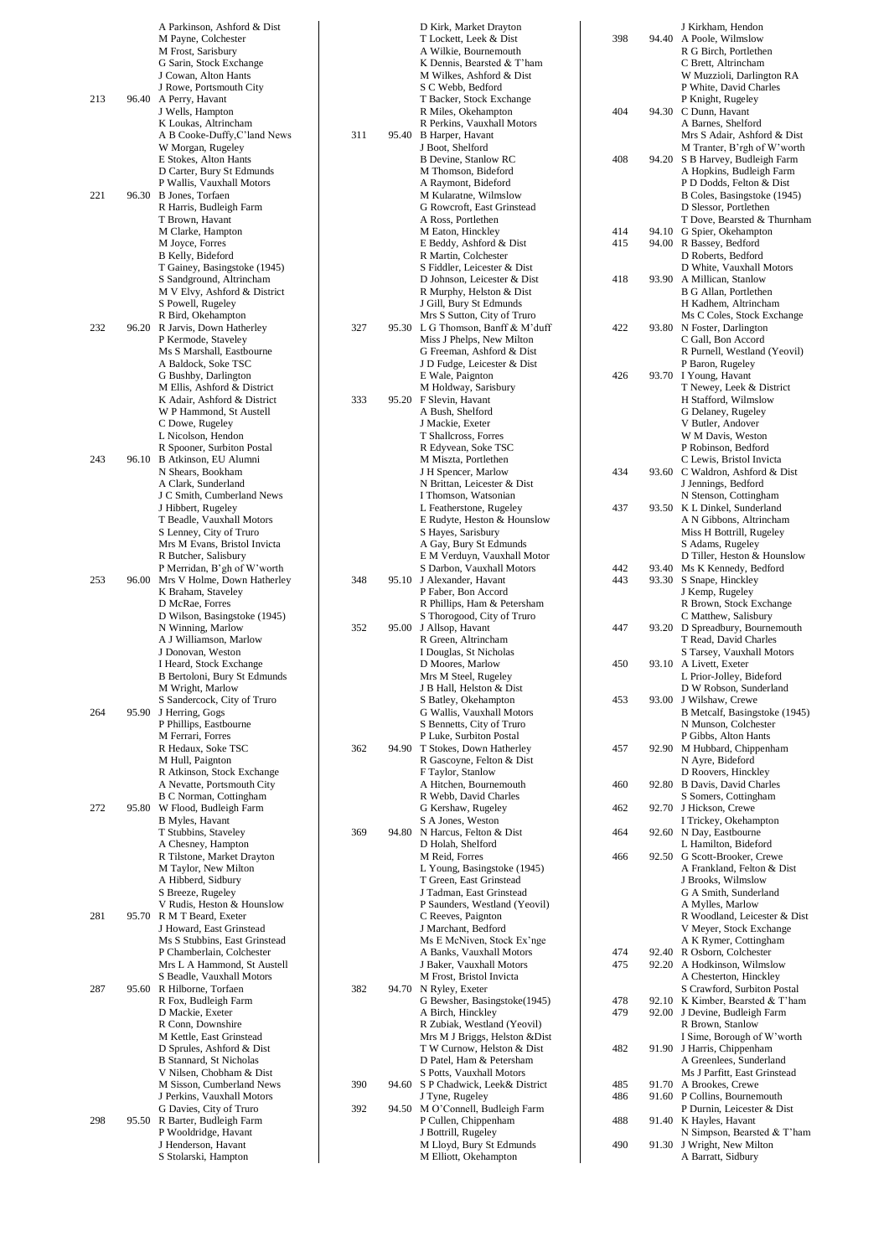|     | A Parkinson, Ashford & Dist                              |     |       | D Kirk, Market Drayton                                        |  |
|-----|----------------------------------------------------------|-----|-------|---------------------------------------------------------------|--|
|     | M Payne, Colchester<br>M Frost, Sarisbury                |     |       | T Lockett, Leek & Dist<br>A Wilkie, Bournemouth               |  |
|     | G Sarin, Stock Exchange                                  |     |       | K Dennis, Bearsted & T'ham                                    |  |
|     | J Cowan, Alton Hants                                     |     |       | M Wilkes, Ashford & Dist                                      |  |
|     | J Rowe, Portsmouth City                                  |     |       | S C Webb, Bedford                                             |  |
| 213 | 96.40 A Perry, Havant<br>J Wells, Hampton                |     |       | T Backer, Stock Exchange<br>R Miles, Okehampton               |  |
|     | K Loukas, Altrincham                                     |     |       | R Perkins, Vauxhall Motors                                    |  |
|     | A B Cooke-Duffy, C'land News                             | 311 |       | 95.40 B Harper, Havant                                        |  |
|     | W Morgan, Rugeley                                        |     |       | J Boot, Shelford                                              |  |
|     | E Stokes, Alton Hants<br>D Carter, Bury St Edmunds       |     |       | <b>B</b> Devine, Stanlow RC<br>M Thomson, Bideford            |  |
|     | P Wallis, Vauxhall Motors                                |     |       | A Raymont, Bideford                                           |  |
| 221 | 96.30 B Jones, Torfaen                                   |     |       | M Kularatne, Wilmslow                                         |  |
|     | R Harris, Budleigh Farm                                  |     |       | G Rowcroft, East Grinstead                                    |  |
|     | T Brown, Havant<br>M Clarke, Hampton                     |     |       | A Ross, Portlethen<br>M Eaton, Hinckley                       |  |
|     | M Joyce, Forres                                          |     |       | E Beddy, Ashford & Dist                                       |  |
|     | B Kelly, Bideford                                        |     |       | R Martin, Colchester                                          |  |
|     | T Gainey, Basingstoke (1945)                             |     |       | S Fiddler, Leicester & Dist                                   |  |
|     | S Sandground, Altrincham<br>M V Elvy, Ashford & District |     |       | D Johnson, Leicester & Dist<br>R Murphy, Helston & Dist       |  |
|     | S Powell, Rugeley                                        |     |       | J Gill, Bury St Edmunds                                       |  |
|     | R Bird, Okehampton                                       |     |       | Mrs S Sutton, City of Truro                                   |  |
| 232 | 96.20 R Jarvis, Down Hatherley                           | 327 |       | 95.30 L G Thomson, Banff & M'duff                             |  |
|     | P Kermode, Staveley<br>Ms S Marshall, Eastbourne         |     |       | Miss J Phelps, New Milton<br>G Freeman, Ashford & Dist        |  |
|     | A Baldock, Soke TSC                                      |     |       | J D Fudge, Leicester & Dist                                   |  |
|     | G Bushby, Darlington                                     |     |       | E Wale, Paignton                                              |  |
|     | M Ellis, Ashford & District                              |     |       | M Holdway, Sarisbury                                          |  |
|     | K Adair, Ashford & District                              | 333 |       | 95.20 F Slevin, Havant                                        |  |
|     | W P Hammond, St Austell<br>C Dowe, Rugeley               |     |       | A Bush, Shelford<br>J Mackie, Exeter                          |  |
|     | L Nicolson, Hendon                                       |     |       | T Shallcross, Forres                                          |  |
|     | R Spooner, Surbiton Postal                               |     |       | R Edyvean, Soke TSC                                           |  |
| 243 | 96.10 B Atkinson, EU Alumni<br>N Shears, Bookham         |     |       | M Miszta, Portlethen                                          |  |
|     | A Clark, Sunderland                                      |     |       | J H Spencer, Marlow<br>N Brittan, Leicester & Dist            |  |
|     | J C Smith, Cumberland News                               |     |       | I Thomson, Watsonian                                          |  |
|     | J Hibbert, Rugeley                                       |     |       | L Featherstone, Rugeley                                       |  |
|     | T Beadle, Vauxhall Motors                                |     |       | E Rudyte, Heston & Hounslow                                   |  |
|     | S Lenney, City of Truro<br>Mrs M Evans, Bristol Invicta  |     |       | S Hayes, Sarisbury<br>A Gay, Bury St Edmunds                  |  |
|     | R Butcher, Salisbury                                     |     |       | E M Verduyn, Vauxhall Motor                                   |  |
|     | P Merridan, B'gh of W'worth                              |     |       | S Darbon, Vauxhall Motors                                     |  |
| 253 | 96.00 Mrs V Holme, Down Hatherley                        | 348 |       | 95.10 J Alexander, Havant                                     |  |
|     | K Braham, Staveley<br>D McRae, Forres                    |     |       | P Faber, Bon Accord<br>R Phillips, Ham & Petersham            |  |
|     | D Wilson, Basingstoke (1945)                             |     |       | S Thorogood, City of Truro                                    |  |
|     | N Winning, Marlow                                        | 352 |       | 95.00 J Allsop, Havant                                        |  |
|     | A J Williamson, Marlow                                   |     |       | R Green, Altrincham                                           |  |
|     | J Donovan, Weston<br>I Heard, Stock Exchange             |     |       | I Douglas, St Nicholas<br>D Moores, Marlow                    |  |
|     | B Bertoloni, Bury St Edmunds                             |     |       | Mrs M Steel, Rugeley                                          |  |
|     | M Wright, Marlow                                         |     |       | J B Hall, Helston & Dist                                      |  |
|     | S Sandercock, City of Truro                              |     |       | S Batley, Okehampton                                          |  |
| 264 | 95.90 J Herring, Gogs<br>P Phillips, Eastbourne          |     |       | G Wallis, Vauxhall Motors<br>S Bennetts, City of Truro        |  |
|     | M Ferrari, Forres                                        |     |       | P Luke, Surbiton Postal                                       |  |
|     | R Hedaux, Soke TSC                                       | 362 |       | 94.90 T Stokes, Down Hatherley                                |  |
|     | M Hull, Paignton                                         |     |       | R Gascoyne, Felton & Dist                                     |  |
|     | R Atkinson, Stock Exchange<br>A Nevatte, Portsmouth City |     |       | F Taylor, Stanlow<br>A Hitchen, Bournemouth                   |  |
|     | <b>B C Norman, Cottingham</b>                            |     |       | R Webb, David Charles                                         |  |
| 272 | 95.80 W Flood, Budleigh Farm                             |     |       | G Kershaw, Rugeley                                            |  |
|     | <b>B</b> Myles, Havant                                   |     |       | S A Jones, Weston                                             |  |
|     | T Stubbins, Staveley<br>A Chesney, Hampton               | 369 | 94.80 | N Harcus, Felton & Dist<br>D Holah, Shelford                  |  |
|     | R Tilstone, Market Drayton                               |     |       | M Reid, Forres                                                |  |
|     | M Taylor, New Milton                                     |     |       | L Young, Basingstoke (1945)                                   |  |
|     | A Hibberd, Sidbury                                       |     |       | T Green, East Grinstead                                       |  |
|     | S Breeze, Rugeley<br>V Rudis, Heston & Hounslow          |     |       | J Tadman, East Grinstead<br>P Saunders, Westland (Yeovil)     |  |
| 281 | 95.70 R M T Beard, Exeter                                |     |       | C Reeves, Paignton                                            |  |
|     | J Howard, East Grinstead                                 |     |       | J Marchant, Bedford                                           |  |
|     | Ms S Stubbins, East Grinstead                            |     |       | Ms E McNiven, Stock Ex'nge                                    |  |
|     | P Chamberlain, Colchester                                |     |       | A Banks, Vauxhall Motors                                      |  |
|     | Mrs L A Hammond, St Austell<br>S Beadle, Vauxhall Motors |     |       | J Baker, Vauxhall Motors<br>M Frost, Bristol Invicta          |  |
| 287 | 95.60 R Hilborne, Torfaen                                | 382 |       | 94.70 N Ryley, Exeter                                         |  |
|     | R Fox, Budleigh Farm                                     |     |       | G Bewsher, Basingstoke(1945)                                  |  |
|     | D Mackie, Exeter                                         |     |       | A Birch, Hinckley                                             |  |
|     | R Conn, Downshire<br>M Kettle, East Grinstead            |     |       | R Zubiak, Westland (Yeovil)<br>Mrs M J Briggs, Helston & Dist |  |
|     | D Sprules, Ashford & Dist                                |     |       | T W Curnow, Helston & Dist                                    |  |
|     | <b>B</b> Stannard, St Nicholas                           |     |       | D Patel, Ham & Petersham                                      |  |
|     | V Nilsen, Chobham & Dist                                 |     |       | S Potts, Vauxhall Motors                                      |  |
|     | M Sisson, Cumberland News                                | 390 | 94.60 | S P Chadwick, Leek& District<br>J Tyne, Rugeley               |  |
|     | J Perkins, Vauxhall Motors<br>G Davies, City of Truro    | 392 | 94.50 | M O'Connell, Budleigh Farm                                    |  |
| 298 | 95.50 R Barter, Budleigh Farm                            |     |       | P Cullen, Chippenham                                          |  |
|     | P Wooldridge, Havant                                     |     |       | J Bottrill, Rugeley                                           |  |
|     | J Henderson, Havant                                      |     |       | M Lloyd, Bury St Edmunds                                      |  |
|     | S Stolarski, Hampton                                     |     |       | M Elliott, Okehampton                                         |  |

| 398        | 94.40          | J Kirkham, Hendon<br>A Poole, Wilmslow<br>R G Birch, Portlethen<br>C Brett, Altrincham<br>W Muzzioli, Darlington RA                             |
|------------|----------------|-------------------------------------------------------------------------------------------------------------------------------------------------|
| 404        | 94.30          | P White, David Charles<br>P Knight, Rugeley<br>C Dunn, Havant<br>A Barnes, Shelford<br>Mrs S Adair, Ashford & Dist                              |
| 408        | 94.20          | M Tranter, B'rgh of W'worth<br>S B Harvey, Budleigh Farm<br>A Hopkins, Budleigh Farm<br>P D Dodds, Felton & Dist<br>B Coles, Basingstoke (1945) |
|            |                | D Slessor, Portlethen<br>T Dove, Bearsted & Thurnham                                                                                            |
| 414        | 94.10          | G Spier, Okehampton                                                                                                                             |
| 415        | 94.00          | R Bassey, Bedford                                                                                                                               |
|            |                | D Roberts, Bedford<br>D White, Vauxhall Motors                                                                                                  |
| 418        | 93.90          | A Millican, Stanlow                                                                                                                             |
|            |                | <b>B G Allan, Portlethen</b>                                                                                                                    |
|            |                | H Kadhem, Altrincham                                                                                                                            |
| 422        | 93.80          | Ms C Coles, Stock Exchange<br>N Foster, Darlington                                                                                              |
|            |                | C Gall, Bon Accord                                                                                                                              |
|            |                | R Purnell, Westland (Yeovil)                                                                                                                    |
|            |                | P Baron, Rugeley                                                                                                                                |
| 426        | 93.70          | I Young, Havant<br>T Newey, Leek & District                                                                                                     |
|            |                | H Stafford, Wilmslow                                                                                                                            |
|            |                | G Delaney, Rugeley                                                                                                                              |
|            |                | V Butler, Andover<br>W M Davis, Weston                                                                                                          |
|            |                | P Robinson, Bedford                                                                                                                             |
|            |                | C Lewis, Bristol Invicta                                                                                                                        |
| 434        | 93.60          | C Waldron, Ashford & Dist                                                                                                                       |
|            |                | J Jennings, Bedford<br>N Stenson, Cottingham                                                                                                    |
| 437        | 93.50          | K L Dinkel, Sunderland                                                                                                                          |
|            |                | A N Gibbons, Altrincham                                                                                                                         |
|            |                | Miss H Bottrill, Rugeley<br>S Adams, Rugeley                                                                                                    |
|            |                | D Tiller, Heston & Hounslow                                                                                                                     |
| 442        | 93.40          | Ms K Kennedy, Bedford                                                                                                                           |
| 443        | 93.30          | S Snape, Hinckley<br>J Kemp, Rugeley                                                                                                            |
|            |                | R Brown, Stock Exchange                                                                                                                         |
|            |                | C Matthew, Salisbury                                                                                                                            |
| 447        | 93.20          | D Spreadbury, Bournemouth<br>T Read, David Charles                                                                                              |
|            |                | S Tarsey, Vauxhall Motors                                                                                                                       |
| 450        | 93.10          | A Livett, Exeter                                                                                                                                |
|            |                | L Prior-Jolley, Bideford<br>D W Robson, Sunderland                                                                                              |
| 453        | 93.00          | J Wilshaw, Crewe                                                                                                                                |
|            |                | B Metcalf, Basingstoke (1945)                                                                                                                   |
|            |                | N Munson, Colchester<br>P Gibbs, Alton Hants                                                                                                    |
| 457        | 92.90          | M Hubbard, Chippenham                                                                                                                           |
|            |                | N Ayre, Bideford<br>D Roovers, Hinckley                                                                                                         |
| 460        | 92.80          | <b>B Davis, David Charles</b>                                                                                                                   |
|            |                | S Somers, Cottingham                                                                                                                            |
| 462        | 92.70          | J Hickson, Crewe<br>I Trickey, Okehampton                                                                                                       |
| 464        | 92.60          | N Day, Eastbourne                                                                                                                               |
|            |                | L Hamilton, Bideford                                                                                                                            |
| 466        | 92.50          | G Scott-Brooker, Crewe<br>A Frankland, Felton & Dist                                                                                            |
|            |                | J Brooks, Wilmslow                                                                                                                              |
|            |                | G A Smith, Sunderland                                                                                                                           |
|            |                | A Mylles, Marlow<br>R Woodland, Leicester & Dist                                                                                                |
|            |                | V Meyer, Stock Exchange                                                                                                                         |
| 474        | 92.40          | A K Rymer, Cottingham<br>R Osborn, Colchester                                                                                                   |
| 475        | 92.20          | A Hodkinson, Wilmslow                                                                                                                           |
|            |                | A Chesterton, Hinckley                                                                                                                          |
| 478        | 92.10          | S Crawford, Surbiton Postal<br>K Kimber, Bearsted & T'ham                                                                                       |
| 479        | 92.00          | J Devine, Budleigh Farm                                                                                                                         |
|            |                | R Brown, Stanlow                                                                                                                                |
| 482        | 91.90          | I Sime, Borough of W'worth<br>J Harris, Chippenham                                                                                              |
|            |                | A Greenlees, Sunderland                                                                                                                         |
|            |                | Ms J Parfitt, East Grinstead                                                                                                                    |
| 485<br>486 | 91.70<br>91.60 | A Brookes, Crewe<br>P Collins, Bournemouth                                                                                                      |
|            |                | P Durnin, Leicester & Dist                                                                                                                      |
| 488        | 91.40          | K Hayles, Havant                                                                                                                                |
| 490        | 91.30          | N Simpson, Bearsted & T'ham<br>J Wright, New Milton                                                                                             |
|            |                | A Barratt, Sidbury                                                                                                                              |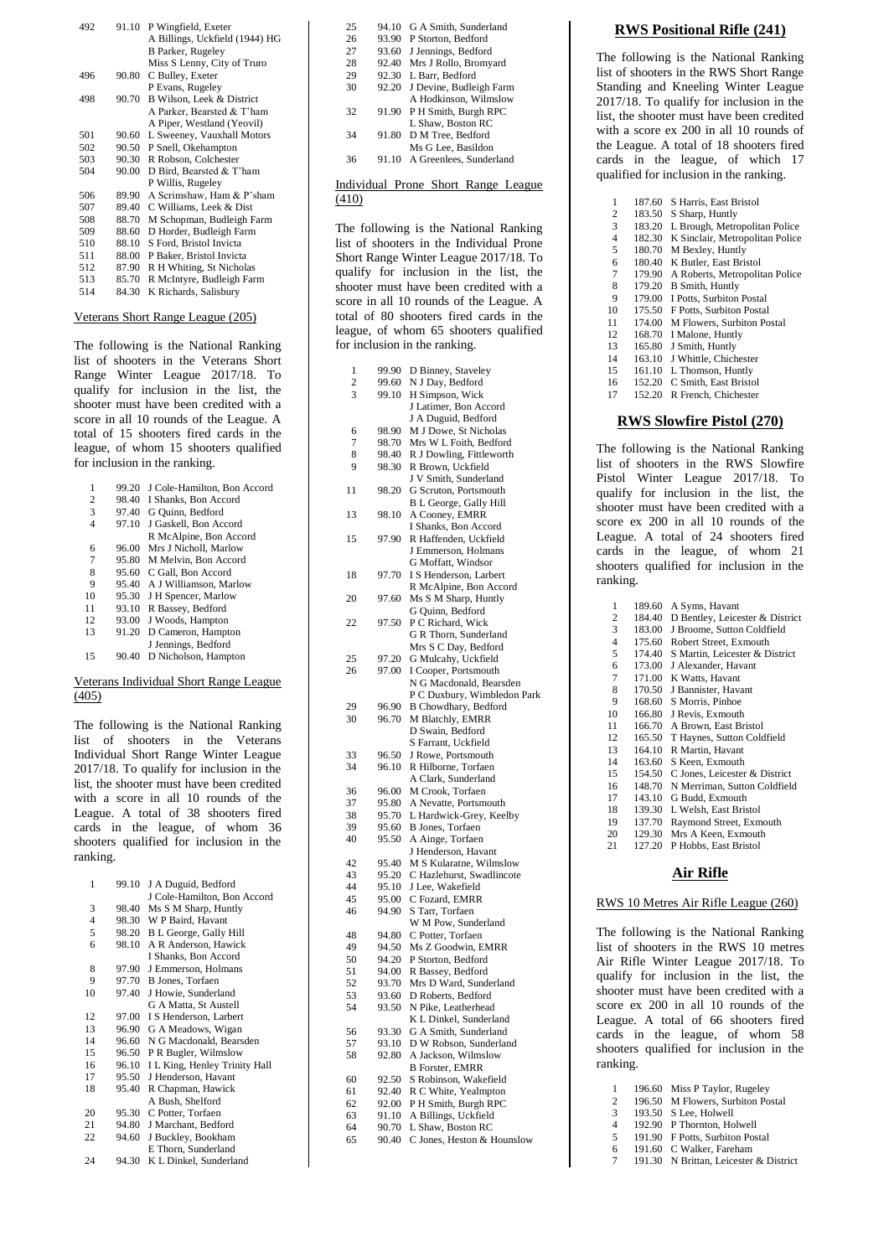| 492 | 91.10 | P Wingfield, Exeter            |
|-----|-------|--------------------------------|
|     |       | A Billings, Uckfield (1944) HG |
|     |       | <b>B</b> Parker, Rugeley       |
|     |       | Miss S Lenny, City of Truro    |
| 496 | 90.80 | C Bulley, Exeter               |
|     |       | P Evans, Rugeley               |
| 498 | 90.70 | B Wilson, Leek & District      |
|     |       | A Parker, Bearsted & T'ham     |
|     |       | A Piper, Westland (Yeovil)     |
| 501 | 90.60 | L Sweeney, Vauxhall Motors     |
| 502 | 90.50 | P Snell, Okehampton            |
| 503 | 90.30 | R Robson, Colchester           |
| 504 | 90.00 | D Bird, Bearsted & T'ham       |
|     |       | P Willis, Rugeley              |
| 506 | 89.90 | A Scrimshaw, Ham & P'sham      |
| 507 | 89.40 | C Williams, Leek & Dist        |
| 508 | 88.70 | M Schopman, Budleigh Farm      |
| 509 | 88.60 | D Horder, Budleigh Farm        |
| 510 | 88.10 | S Ford, Bristol Invicta        |
| 511 | 88.00 | P Baker, Bristol Invicta       |
| 512 | 87.90 | R H Whiting, St Nicholas       |
| 513 | 85.70 | R McIntyre, Budleigh Farm      |
| 514 | 84.30 | K Richards, Salisbury          |
|     |       |                                |

#### Veterans Short Range League (205)

The following is the National Ranking list of shooters in the Veterans Short Range Winter League 2017/18. To qualify for inclusion in the list, the shooter must have been credited with a score in all 10 rounds of the League. A total of 15 shooters fired cards in the league, of whom 15 shooters qualified for inclusion in the ranking.

| 1  | 99.20 | J Cole-Hamilton, Bon Accord |
|----|-------|-----------------------------|
| 2  | 98.40 | I Shanks, Bon Accord        |
| 3  | 97.40 | G Quinn, Bedford            |
| 4  | 97.10 | J Gaskell, Bon Accord       |
|    |       | R McAlpine, Bon Accord      |
| 6  | 96.00 | Mrs J Nicholl, Marlow       |
| 7  | 95.80 | M Melvin, Bon Accord        |
| 8  | 95.60 | C Gall, Bon Accord          |
| 9  | 95.40 | A J Williamson, Marlow      |
| 10 | 95.30 | J H Spencer, Marlow         |
| 11 | 93.10 | R Bassey, Bedford           |
| 12 | 93.00 | J Woods, Hampton            |
| 13 | 91.20 | D Cameron, Hampton          |
|    |       | J Jennings, Bedford         |
| 15 | 90.40 | D Nicholson, Hampton        |

#### Veterans Individual Short Range League (405)

The following is the National Ranking list of shooters in the Veterans Individual Short Range Winter League 2017/18. To qualify for inclusion in the list, the shooter must have been credited with a score in all 10 rounds of the League. A total of 38 shooters fired cards in the league, of whom 36 shooters qualified for inclusion in the ranking.

| 1              | 99.10 | J A Duguid, Bedford           |
|----------------|-------|-------------------------------|
|                |       | J Cole-Hamilton, Bon Accord   |
| 3              | 98.40 | Ms S M Sharp, Huntly          |
| $\overline{4}$ | 98.30 | W P Baird, Havant             |
| 5              | 98.20 | B L George, Gally Hill        |
| 6              | 98.10 | A R Anderson, Hawick          |
|                |       | I Shanks, Bon Accord          |
| 8              | 97.90 | J Emmerson, Holmans           |
| 9              | 97.70 | <b>B</b> Jones, Torfaen       |
| 10             | 97.40 | J Howie, Sunderland           |
|                |       | G A Matta, St Austell         |
| 12             | 97.00 | I S Henderson, Larbert        |
| 13             | 96.90 | G A Meadows, Wigan            |
| 14             | 96.60 | N G Macdonald, Bearsden       |
| 15             | 96.50 | P R Bugler, Wilmslow          |
| 16             | 96.10 | I L King, Henley Trinity Hall |
| 17             | 95.50 | J Henderson, Havant           |
| 18             | 95.40 | R Chapman, Hawick             |
|                |       | A Bush, Shelford              |
| 20             | 95.30 | C Potter, Torfaen             |
| 21             | 94.80 | J Marchant, Bedford           |
| 22             | 94.60 | J Buckley, Bookham            |
|                |       | E Thorn, Sunderland           |
| 24             | 94.30 | K L Dinkel, Sunderland        |

| 25 | 94.10 | G A Smith, Sunderland         |
|----|-------|-------------------------------|
| 26 |       | 93.90 P Storton, Bedford      |
| 27 | 93.60 | J Jennings, Bedford           |
| 28 | 92.40 | Mrs J Rollo, Bromyard         |
| 29 | 92.30 | L Barr, Bedford               |
| 30 | 92.20 | J Devine, Budleigh Farm       |
|    |       | A Hodkinson, Wilmslow         |
| 32 |       | 91.90 P H Smith, Burgh RPC    |
|    |       | L Shaw, Boston RC             |
| 34 | 91.80 | D M Tree, Bedford             |
|    |       | Ms G Lee, Basildon            |
| 36 |       | 91.10 A Greenlees, Sunderland |

#### Individual Prone Short Range League (410)

The following is the National Ranking list of shooters in the Individual Prone Short Range Winter League 2017/18. To qualify for inclusion in the list, the shooter must have been credited with a score in all 10 rounds of the League. A total of 80 shooters fired cards in the league, of whom 65 shooters qualified for inclusion in the ranking.

| 1              | 99.90          | D Binney, Staveley                              |
|----------------|----------------|-------------------------------------------------|
| $\overline{c}$ | 99.60          | N J Day, Bedford                                |
| 3              | 99.10          | H Simpson, Wick                                 |
|                |                | J Latimer, Bon Accord                           |
|                |                | J A Duguid, Bedford                             |
| 6              | 98.90          | M J Dowe, St Nicholas                           |
| 7              | 98.70          | Mrs W L Foith, Bedford                          |
| 8              | 98.40          | R J Dowling, Fittleworth                        |
| 9              | 98.30          |                                                 |
|                |                | R Brown, Uckfield                               |
|                |                | J V Smith, Sunderland                           |
| 11             | 98.20          | G Scruton, Portsmouth                           |
|                |                | B L George, Gally Hill                          |
| 13             | 98.10          | A Cooney, EMRR                                  |
|                |                | I Shanks, Bon Accord                            |
| 15             | 97.90          | R Haffenden, Uckfield                           |
|                |                | J Emmerson, Holmans                             |
|                |                | G Moffatt, Windsor                              |
| 18             | 97.70          | I S Henderson, Larbert                          |
|                |                | R McAlpine, Bon Accord                          |
| 20             | 97.60          | Ms S M Sharp, Huntly                            |
|                |                | G Quinn, Bedford                                |
| 22             | 97.50          | P C Richard, Wick                               |
|                |                | G R Thorn, Sunderland                           |
|                |                | Mrs S C Day, Bedford                            |
| 25             |                |                                                 |
|                | 97.20          | G Mulcahy, Uckfield                             |
| 26             | 97.00          | I Cooper, Portsmouth                            |
|                |                | N G Macdonald, Bearsden                         |
|                |                | P C Duxbury, Wimbledon Park                     |
| 29             | 96.90          | B Chowdhary, Bedford                            |
| 30             | 96.70          | M Blatchly, EMRR                                |
|                |                | D Swain, Bedford                                |
|                |                | S Farrant, Uckfield                             |
| 33             | 96.50          | J Rowe, Portsmouth                              |
| 34             | 96.10          | R Hilborne, Torfaen                             |
|                |                | A Clark, Sunderland                             |
| 36             | 96.00          | M Crook, Torfaen                                |
| 37             | 95.80          | A Nevatte, Portsmouth                           |
| 38             | 95.70          | L Hardwick-Grey, Keelby                         |
| 39             | 95.60          | B Jones, Torfaen                                |
| 40             | 95.50          | A Ainge, Torfaen                                |
|                |                | J Henderson, Havant                             |
| 42             | 95.40          | M S Kularatne, Wilmslow                         |
| 43             | 95.20          | C Hazlehurst, Swadlincote                       |
| 44             | 95.10          | J Lee, Wakefield                                |
| 45             |                |                                                 |
|                | 95.00          | C Fozard, EMRR                                  |
| 46             | 94.90          | S Tarr, Torfaen                                 |
|                |                | W M Pow, Sunderland                             |
| 48             | 94.80          | C Potter, Torfaen                               |
| 49             | 94.50          | Ms Z Goodwin, EMRR                              |
| 50             | 94.20          | P Storton, Bedford                              |
| 51             | 94.00          | R Bassey, Bedford                               |
| 52             | 93.70          | Mrs D Ward, Sunderland                          |
| 53             | 93.60          | D Roberts, Bedford                              |
| 54             | 93.50          | N Pike, Leatherhead                             |
|                |                | K L Dinkel, Sunderland                          |
| 56             | 93.30          | G A Smith, Sunderland                           |
| 57             |                |                                                 |
|                | 93.10          |                                                 |
| 58             |                | D W Robson, Sunderland                          |
|                | 92.80          | A Jackson, Wilmslow                             |
|                |                | <b>B</b> Forster, EMRR                          |
| 60             | 92.50          | S Robinson, Wakefield                           |
| 61             | 92.40          | R C White, Yealmpton                            |
| 62             | 92.00          | P H Smith, Burgh RPC                            |
| 63             | 91.10          | A Billings, Uckfield                            |
| 64<br>65       | 90.70<br>90.40 | L Shaw, Boston RC<br>C Jones, Heston & Hounslow |

#### **RWS Positional Rifle (241)**

The following is the National Ranking list of shooters in the RWS Short Range Standing and Kneeling Winter League 2017/18. To qualify for inclusion in the list, the shooter must have been credited with a score ex 200 in all 10 rounds of the League. A total of 18 shooters fired cards in the league, of which 17 qualified for inclusion in the ranking.

| 1              | 187.60 | S Harris, East Bristol           |
|----------------|--------|----------------------------------|
| 2              | 183.50 | S Sharp, Huntly                  |
| 3              | 183.20 | L Brough, Metropolitan Police    |
|                |        |                                  |
| $\overline{4}$ | 182.30 | K Sinclair, Metropolitan Police  |
| 5              | 180.70 | M Bexley, Huntly                 |
| 6              | 180.40 | K Butler, East Bristol           |
| $\overline{7}$ | 179.90 | A Roberts, Metropolitan Police   |
| 8              | 179.20 | <b>B</b> Smith, Huntly           |
| 9              | 179.00 | I Potts, Surbiton Postal         |
| 10             | 175.50 | F Potts, Surbiton Postal         |
| 11             | 174.00 | M Flowers, Surbiton Postal       |
| 12             | 168.70 | I Malone, Huntly                 |
| 13             | 165.80 | J Smith, Huntly                  |
| 14             | 163.10 | J Whittle, Chichester            |
| 15             | 161.10 | L Thomson, Huntly                |
| 16             | 152.20 | C Smith, East Bristol            |
| 17             | 152.20 | R French, Chichester             |
|                |        | <b>RWS Slowfire Pistol (270)</b> |

The following is the National Ranking list of shooters in the RWS Slowfire Pistol Winter League 2017/18. To qualify for inclusion in the list, the shooter must have been credited with a score ex 200 in all 10 rounds of the League. A total of 24 shooters fired cards in the league, of whom 21 shooters qualified for inclusion in the ranking.

| 1  | 189.60 | A Syms, Havant                  |
|----|--------|---------------------------------|
| 2  | 184.40 | D Bentley, Leicester & District |
| 3  | 183.00 | J Broome, Sutton Coldfield      |
| 4  | 175.60 | Robert Street, Exmouth          |
| 5  | 174.40 | S Martin, Leicester & District  |
| 6  | 173.00 | J Alexander, Havant             |
| 7  | 171.00 | K Watts, Havant                 |
| 8  | 170.50 | J Bannister, Havant             |
| 9  | 168.60 | S Morris, Pinhoe                |
| 10 | 166.80 | J Revis, Exmouth                |
| 11 | 166.70 | A Brown, East Bristol           |
| 12 | 165.50 | T Haynes, Sutton Coldfield      |
| 13 | 164.10 | R Martin, Havant                |
| 14 | 163.60 | S Keen, Exmouth                 |
| 15 | 154.50 | C Jones, Leicester & District   |
| 16 | 148.70 | N Merriman, Sutton Coldfield    |
| 17 | 143.10 | G Budd, Exmouth                 |
| 18 | 139.30 | L Welsh, East Bristol           |
| 19 | 137.70 | Raymond Street, Exmouth         |
| 20 | 129.30 | Mrs A Keen, Exmouth             |
| 21 | 127.20 | P Hobbs, East Bristol           |

#### **Air Rifle**

#### RWS 10 Metres Air Rifle League (260)

The following is the National Ranking list of shooters in the RWS 10 metres Air Rifle Winter League 2017/18. To qualify for inclusion in the list, the shooter must have been credited with a score ex 200 in all 10 rounds of the League. A total of 66 shooters fired cards in the league, of whom 58 shooters qualified for inclusion in the ranking.

- 1 196.60 Miss P Taylor, Rugeley<br>2 196.50 M Flowers, Surbiton Po
- 2 196.50 M Flowers, Surbiton Postal 3 193.50 S Lee, Holwell
- 4 192.90 P Thornton, Holwell
- 5 191.90 F Potts, Surbiton Postal
- 6 191.60 C Walker, Fareham
- 7 191.30 N Brittan, Leicester & District